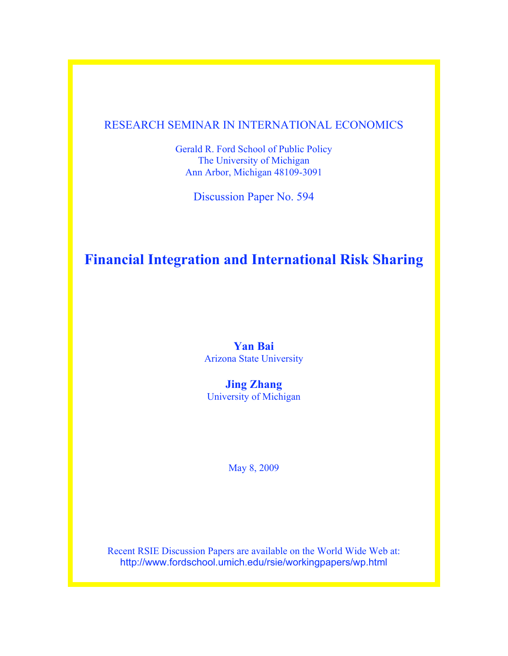# RESEARCH SEMINAR IN INTERNATIONAL ECONOMICS

Gerald R. Ford School of Public Policy The University of Michigan Ann Arbor, Michigan 48109-3091

Discussion Paper No. 594

# **Financial Integration and International Risk Sharing**

# **Yan Bai** Arizona State University

**Jing Zhang** University of Michigan

May 8, 2009

Recent RSIE Discussion Papers are available on the World Wide Web at: http://www.fordschool.umich.edu/rsie/workingpapers/wp.html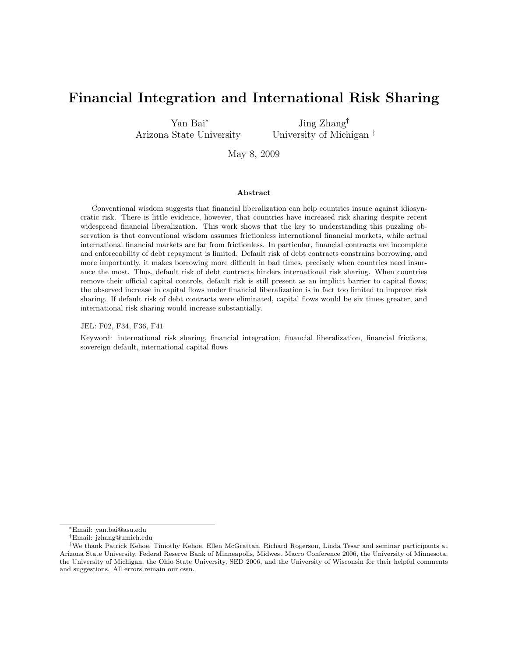# Financial Integration and International Risk Sharing

Yan Bai<sup>∗</sup> Arizona State University

Jing Zhang† University of Michigan ‡

May 8, 2009

#### Abstract

Conventional wisdom suggests that financial liberalization can help countries insure against idiosyncratic risk. There is little evidence, however, that countries have increased risk sharing despite recent widespread financial liberalization. This work shows that the key to understanding this puzzling observation is that conventional wisdom assumes frictionless international financial markets, while actual international financial markets are far from frictionless. In particular, financial contracts are incomplete and enforceability of debt repayment is limited. Default risk of debt contracts constrains borrowing, and more importantly, it makes borrowing more difficult in bad times, precisely when countries need insurance the most. Thus, default risk of debt contracts hinders international risk sharing. When countries remove their official capital controls, default risk is still present as an implicit barrier to capital flows; the observed increase in capital flows under financial liberalization is in fact too limited to improve risk sharing. If default risk of debt contracts were eliminated, capital flows would be six times greater, and international risk sharing would increase substantially.

JEL: F02, F34, F36, F41

Keyword: international risk sharing, financial integration, financial liberalization, financial frictions, sovereign default, international capital flows

<sup>∗</sup>Email: yan.bai@asu.edu

<sup>†</sup>Email: jzhang@umich.edu

<sup>‡</sup>We thank Patrick Kehoe, Timothy Kehoe, Ellen McGrattan, Richard Rogerson, Linda Tesar and seminar participants at Arizona State University, Federal Reserve Bank of Minneapolis, Midwest Macro Conference 2006, the University of Minnesota, the University of Michigan, the Ohio State University, SED 2006, and the University of Wisconsin for their helpful comments and suggestions. All errors remain our own.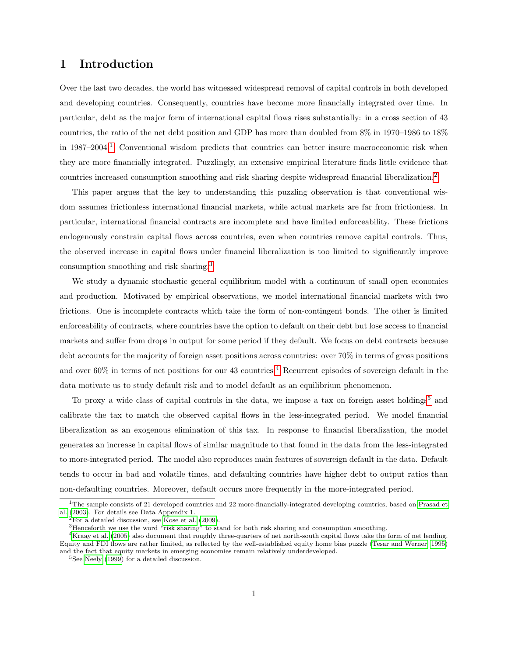# 1 Introduction

Over the last two decades, the world has witnessed widespread removal of capital controls in both developed and developing countries. Consequently, countries have become more financially integrated over time. In particular, debt as the major form of international capital flows rises substantially: in a cross section of 43 countries, the ratio of the net debt position and GDP has more than doubled from 8% in 1970–1986 to 18% in  $1987-2004$  $1987-2004$ .<sup>1</sup> Conventional wisdom predicts that countries can better insure macroeconomic risk when they are more financially integrated. Puzzlingly, an extensive empirical literature finds little evidence that countries increased consumption smoothing and risk sharing despite widespread financial liberalization.<sup>[2](#page-2-1)</sup>

This paper argues that the key to understanding this puzzling observation is that conventional wisdom assumes frictionless international financial markets, while actual markets are far from frictionless. In particular, international financial contracts are incomplete and have limited enforceability. These frictions endogenously constrain capital flows across countries, even when countries remove capital controls. Thus, the observed increase in capital flows under financial liberalization is too limited to significantly improve consumption smoothing and risk sharing.[3](#page-2-2)

We study a dynamic stochastic general equilibrium model with a continuum of small open economies and production. Motivated by empirical observations, we model international financial markets with two frictions. One is incomplete contracts which take the form of non-contingent bonds. The other is limited enforceability of contracts, where countries have the option to default on their debt but lose access to financial markets and suffer from drops in output for some period if they default. We focus on debt contracts because debt accounts for the majority of foreign asset positions across countries: over 70% in terms of gross positions and over 60% in terms of net positions for our [4](#page-2-3)3 countries.<sup>4</sup> Recurrent episodes of sovereign default in the data motivate us to study default risk and to model default as an equilibrium phenomenon.

To proxy a wide class of capital controls in the data, we impose a tax on foreign asset holdings<sup>[5](#page-2-4)</sup> and calibrate the tax to match the observed capital flows in the less-integrated period. We model financial liberalization as an exogenous elimination of this tax. In response to financial liberalization, the model generates an increase in capital flows of similar magnitude to that found in the data from the less-integrated to more-integrated period. The model also reproduces main features of sovereign default in the data. Default tends to occur in bad and volatile times, and defaulting countries have higher debt to output ratios than non-defaulting countries. Moreover, default occurs more frequently in the more-integrated period.

<span id="page-2-0"></span> $1$ The sample consists of 21 developed countries and 22 more-financially-integrated developing countries, based on [Prasad et](#page-25-0) [al.](#page-25-0) [\(2003\)](#page-25-0). For details see Data Appendix 1.

<span id="page-2-1"></span> $2$ For a detailed discussion, see [Kose et al.](#page-25-1) [\(2009\)](#page-25-1).

<span id="page-2-3"></span><span id="page-2-2"></span><sup>3</sup>Henceforth we use the word "risk sharing" to stand for both risk sharing and consumption smoothing.

<sup>&</sup>lt;sup>4</sup>[Kraay et al.](#page-25-2) [\(2005\)](#page-25-2) also document that roughly three-quarters of net north-south capital flows take the form of net lending. Equity and FDI flows are rather limited, as reflected by the well-established equity home bias puzzle [\(Tesar and Werner, 1995\)](#page-26-0) and the fact that equity markets in emerging economies remain relatively underdeveloped.

<span id="page-2-4"></span> ${}^{5}$ See [Neely](#page-25-3) [\(1999\)](#page-25-3) for a detailed discussion.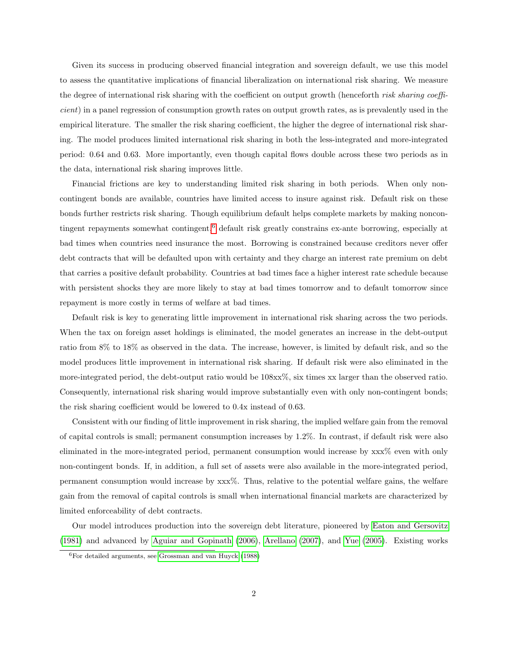Given its success in producing observed financial integration and sovereign default, we use this model to assess the quantitative implications of financial liberalization on international risk sharing. We measure the degree of international risk sharing with the coefficient on output growth (henceforth risk sharing coefficient) in a panel regression of consumption growth rates on output growth rates, as is prevalently used in the empirical literature. The smaller the risk sharing coefficient, the higher the degree of international risk sharing. The model produces limited international risk sharing in both the less-integrated and more-integrated period: 0.64 and 0.63. More importantly, even though capital flows double across these two periods as in the data, international risk sharing improves little.

Financial frictions are key to understanding limited risk sharing in both periods. When only noncontingent bonds are available, countries have limited access to insure against risk. Default risk on these bonds further restricts risk sharing. Though equilibrium default helps complete markets by making noncon-tingent repayments somewhat contingent,<sup>[6](#page-3-0)</sup> default risk greatly constrains ex-ante borrowing, especially at bad times when countries need insurance the most. Borrowing is constrained because creditors never offer debt contracts that will be defaulted upon with certainty and they charge an interest rate premium on debt that carries a positive default probability. Countries at bad times face a higher interest rate schedule because with persistent shocks they are more likely to stay at bad times tomorrow and to default tomorrow since repayment is more costly in terms of welfare at bad times.

Default risk is key to generating little improvement in international risk sharing across the two periods. When the tax on foreign asset holdings is eliminated, the model generates an increase in the debt-output ratio from 8% to 18% as observed in the data. The increase, however, is limited by default risk, and so the model produces little improvement in international risk sharing. If default risk were also eliminated in the more-integrated period, the debt-output ratio would be 108xx%, six times xx larger than the observed ratio. Consequently, international risk sharing would improve substantially even with only non-contingent bonds; the risk sharing coefficient would be lowered to 0.4x instead of 0.63.

Consistent with our finding of little improvement in risk sharing, the implied welfare gain from the removal of capital controls is small; permanent consumption increases by 1.2%. In contrast, if default risk were also eliminated in the more-integrated period, permanent consumption would increase by xxx% even with only non-contingent bonds. If, in addition, a full set of assets were also available in the more-integrated period, permanent consumption would increase by xxx%. Thus, relative to the potential welfare gains, the welfare gain from the removal of capital controls is small when international financial markets are characterized by limited enforceability of debt contracts.

Our model introduces production into the sovereign debt literature, pioneered by [Eaton and Gersovitz](#page-24-0) [\(1981\)](#page-24-0) and advanced by [Aguiar and Gopinath](#page-24-1) [\(2006\)](#page-24-1), [Arellano](#page-24-2) [\(2007\)](#page-24-2), and [Yue](#page-26-1) [\(2005\)](#page-26-1). Existing works

<span id="page-3-0"></span><sup>6</sup>For detailed arguments, see [Grossman and van Huyck](#page-24-3) [\(1988\)](#page-24-3)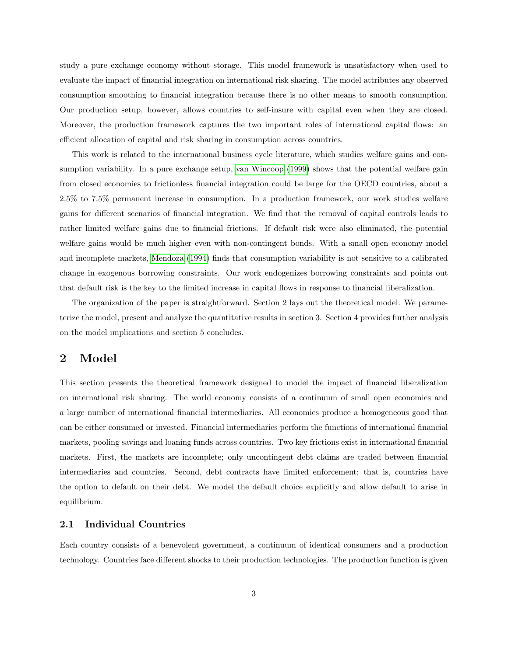study a pure exchange economy without storage. This model framework is unsatisfactory when used to evaluate the impact of financial integration on international risk sharing. The model attributes any observed consumption smoothing to financial integration because there is no other means to smooth consumption. Our production setup, however, allows countries to self-insure with capital even when they are closed. Moreover, the production framework captures the two important roles of international capital flows: an efficient allocation of capital and risk sharing in consumption across countries.

This work is related to the international business cycle literature, which studies welfare gains and consumption variability. In a pure exchange setup, [van Wincoop](#page-26-2) [\(1999\)](#page-26-2) shows that the potential welfare gain from closed economies to frictionless financial integration could be large for the OECD countries, about a 2.5% to 7.5% permanent increase in consumption. In a production framework, our work studies welfare gains for different scenarios of financial integration. We find that the removal of capital controls leads to rather limited welfare gains due to financial frictions. If default risk were also eliminated, the potential welfare gains would be much higher even with non-contingent bonds. With a small open economy model and incomplete markets, [Mendoza](#page-25-4) [\(1994\)](#page-25-4) finds that consumption variability is not sensitive to a calibrated change in exogenous borrowing constraints. Our work endogenizes borrowing constraints and points out that default risk is the key to the limited increase in capital flows in response to financial liberalization.

The organization of the paper is straightforward. Section 2 lays out the theoretical model. We parameterize the model, present and analyze the quantitative results in section 3. Section 4 provides further analysis on the model implications and section 5 concludes.

# 2 Model

This section presents the theoretical framework designed to model the impact of financial liberalization on international risk sharing. The world economy consists of a continuum of small open economies and a large number of international financial intermediaries. All economies produce a homogeneous good that can be either consumed or invested. Financial intermediaries perform the functions of international financial markets, pooling savings and loaning funds across countries. Two key frictions exist in international financial markets. First, the markets are incomplete; only uncontingent debt claims are traded between financial intermediaries and countries. Second, debt contracts have limited enforcement; that is, countries have the option to default on their debt. We model the default choice explicitly and allow default to arise in equilibrium.

### 2.1 Individual Countries

Each country consists of a benevolent government, a continuum of identical consumers and a production technology. Countries face different shocks to their production technologies. The production function is given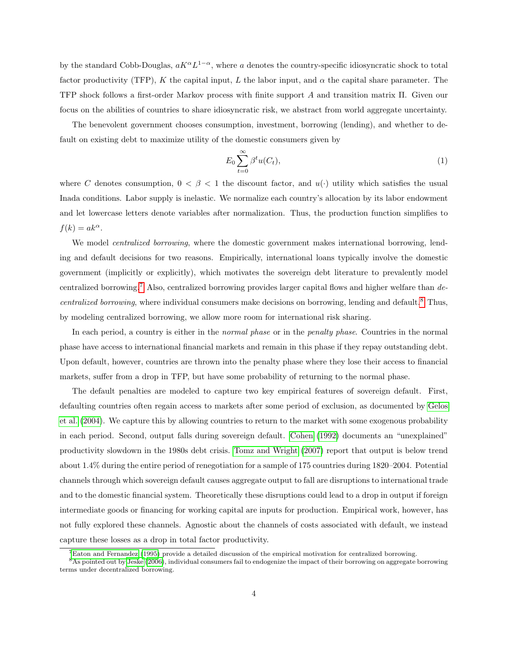by the standard Cobb-Douglas,  $aK^{\alpha}L^{1-\alpha}$ , where a denotes the country-specific idiosyncratic shock to total factor productivity (TFP), K the capital input, L the labor input, and  $\alpha$  the capital share parameter. The TFP shock follows a first-order Markov process with finite support A and transition matrix Π. Given our focus on the abilities of countries to share idiosyncratic risk, we abstract from world aggregate uncertainty.

The benevolent government chooses consumption, investment, borrowing (lending), and whether to default on existing debt to maximize utility of the domestic consumers given by

$$
E_0 \sum_{t=0}^{\infty} \beta^t u(C_t), \tag{1}
$$

where C denotes consumption,  $0 < \beta < 1$  the discount factor, and  $u(\cdot)$  utility which satisfies the usual Inada conditions. Labor supply is inelastic. We normalize each country's allocation by its labor endowment and let lowercase letters denote variables after normalization. Thus, the production function simplifies to  $f(k) = ak^{\alpha}$ .

We model *centralized borrowing*, where the domestic government makes international borrowing, lending and default decisions for two reasons. Empirically, international loans typically involve the domestic government (implicitly or explicitly), which motivates the sovereign debt literature to prevalently model centralized borrowing.[7](#page-5-0) Also, centralized borrowing provides larger capital flows and higher welfare than de-centralized borrowing, where individual consumers make decisions on borrowing, lending and default.<sup>[8](#page-5-1)</sup> Thus, by modeling centralized borrowing, we allow more room for international risk sharing.

In each period, a country is either in the *normal phase* or in the *penalty phase*. Countries in the normal phase have access to international financial markets and remain in this phase if they repay outstanding debt. Upon default, however, countries are thrown into the penalty phase where they lose their access to financial markets, suffer from a drop in TFP, but have some probability of returning to the normal phase.

The default penalties are modeled to capture two key empirical features of sovereign default. First, defaulting countries often regain access to markets after some period of exclusion, as documented by [Gelos](#page-24-4) [et al.](#page-24-4) [\(2004\)](#page-24-4). We capture this by allowing countries to return to the market with some exogenous probability in each period. Second, output falls during sovereign default. [Cohen](#page-24-5) [\(1992\)](#page-24-5) documents an "unexplained" productivity slowdown in the 1980s debt crisis. [Tomz and Wright](#page-26-3) [\(2007\)](#page-26-3) report that output is below trend about 1.4% during the entire period of renegotiation for a sample of 175 countries during 1820–2004. Potential channels through which sovereign default causes aggregate output to fall are disruptions to international trade and to the domestic financial system. Theoretically these disruptions could lead to a drop in output if foreign intermediate goods or financing for working capital are inputs for production. Empirical work, however, has not fully explored these channels. Agnostic about the channels of costs associated with default, we instead capture these losses as a drop in total factor productivity.

<span id="page-5-1"></span><span id="page-5-0"></span> ${}^{7}$ [Eaton and Fernandez](#page-24-6) [\(1995\)](#page-24-6) provide a detailed discussion of the empirical motivation for centralized borrowing.

<sup>&</sup>lt;sup>8</sup>As pointed out by [Jeske](#page-25-5) [\(2006\)](#page-25-5), individual consumers fail to endogenize the impact of their borrowing on aggregate borrowing terms under decentralized borrowing.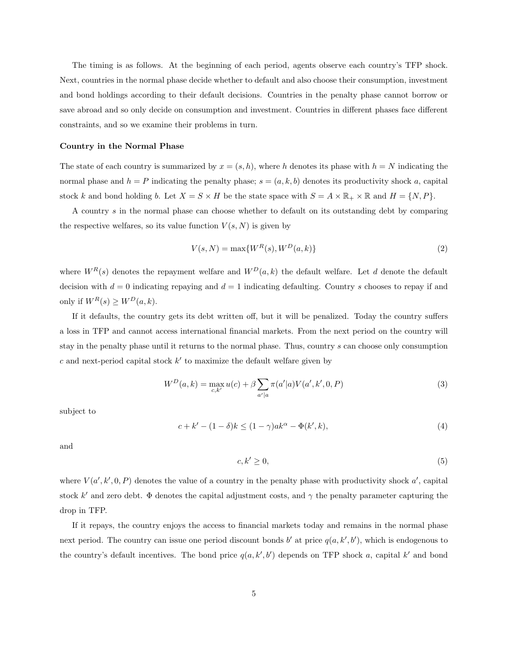The timing is as follows. At the beginning of each period, agents observe each country's TFP shock. Next, countries in the normal phase decide whether to default and also choose their consumption, investment and bond holdings according to their default decisions. Countries in the penalty phase cannot borrow or save abroad and so only decide on consumption and investment. Countries in different phases face different constraints, and so we examine their problems in turn.

#### Country in the Normal Phase

The state of each country is summarized by  $x = (s, h)$ , where h denotes its phase with  $h = N$  indicating the normal phase and  $h = P$  indicating the penalty phase;  $s = (a, k, b)$  denotes its productivity shock a, capital stock k and bond holding b. Let  $X = S \times H$  be the state space with  $S = A \times \mathbb{R}_+ \times \mathbb{R}$  and  $H = \{N, P\}$ .

A country s in the normal phase can choose whether to default on its outstanding debt by comparing the respective welfares, so its value function  $V(s, N)$  is given by

$$
V(s, N) = \max\{W^R(s), W^D(a, k)\}\tag{2}
$$

where  $W^R(s)$  denotes the repayment welfare and  $W^D(a, k)$  the default welfare. Let d denote the default decision with  $d = 0$  indicating repaying and  $d = 1$  indicating defaulting. Country s chooses to repay if and only if  $W^R(s) \geq W^D(a, k)$ .

If it defaults, the country gets its debt written off, but it will be penalized. Today the country suffers a loss in TFP and cannot access international financial markets. From the next period on the country will stay in the penalty phase until it returns to the normal phase. Thus, country s can choose only consumption  $c$  and next-period capital stock  $k'$  to maximize the default welfare given by

$$
W^{D}(a,k) = \max_{c,k'} u(c) + \beta \sum_{a'|a} \pi(a'|a) V(a',k',0,P)
$$
\n(3)

subject to

<span id="page-6-1"></span>
$$
c + k' - (1 - \delta)k \le (1 - \gamma)ak^{\alpha} - \Phi(k', k),\tag{4}
$$

and

<span id="page-6-0"></span>
$$
c, k' \ge 0,\tag{5}
$$

where  $V(a', k', 0, P)$  denotes the value of a country in the penalty phase with productivity shock  $a'$ , capital stock k' and zero debt.  $\Phi$  denotes the capital adjustment costs, and  $\gamma$  the penalty parameter capturing the drop in TFP.

If it repays, the country enjoys the access to financial markets today and remains in the normal phase next period. The country can issue one period discount bonds b' at price  $q(a, k', b')$ , which is endogenous to the country's default incentives. The bond price  $q(a, k', b')$  depends on TFP shock a, capital k' and bond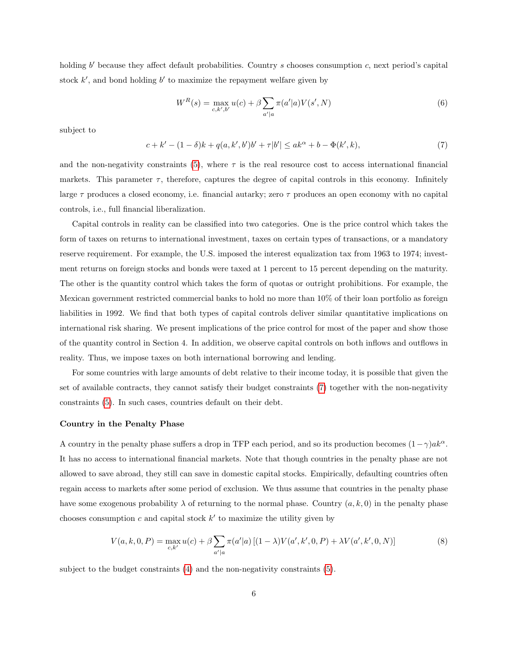holding  $b'$  because they affect default probabilities. Country s chooses consumption c, next period's capital stock  $k'$ , and bond holding  $b'$  to maximize the repayment welfare given by

$$
W^{R}(s) = \max_{c,k',b'} u(c) + \beta \sum_{a'|a} \pi(a'|a)V(s',N)
$$
\n(6)

subject to

<span id="page-7-0"></span>
$$
c + k' - (1 - \delta)k + q(a, k', b')b' + \tau|b'| \le ak^{\alpha} + b - \Phi(k', k),
$$
\n(7)

and the non-negativity constraints [\(5\)](#page-6-0), where  $\tau$  is the real resource cost to access international financial markets. This parameter  $\tau$ , therefore, captures the degree of capital controls in this economy. Infinitely large  $\tau$  produces a closed economy, i.e. financial autarky; zero  $\tau$  produces an open economy with no capital controls, i.e., full financial liberalization.

Capital controls in reality can be classified into two categories. One is the price control which takes the form of taxes on returns to international investment, taxes on certain types of transactions, or a mandatory reserve requirement. For example, the U.S. imposed the interest equalization tax from 1963 to 1974; investment returns on foreign stocks and bonds were taxed at 1 percent to 15 percent depending on the maturity. The other is the quantity control which takes the form of quotas or outright prohibitions. For example, the Mexican government restricted commercial banks to hold no more than 10% of their loan portfolio as foreign liabilities in 1992. We find that both types of capital controls deliver similar quantitative implications on international risk sharing. We present implications of the price control for most of the paper and show those of the quantity control in Section 4. In addition, we observe capital controls on both inflows and outflows in reality. Thus, we impose taxes on both international borrowing and lending.

For some countries with large amounts of debt relative to their income today, it is possible that given the set of available contracts, they cannot satisfy their budget constraints [\(7\)](#page-7-0) together with the non-negativity constraints [\(5\)](#page-6-0). In such cases, countries default on their debt.

#### Country in the Penalty Phase

A country in the penalty phase suffers a drop in TFP each period, and so its production becomes  $(1 - \gamma) a k^{\alpha}$ . It has no access to international financial markets. Note that though countries in the penalty phase are not allowed to save abroad, they still can save in domestic capital stocks. Empirically, defaulting countries often regain access to markets after some period of exclusion. We thus assume that countries in the penalty phase have some exogenous probability  $\lambda$  of returning to the normal phase. Country  $(a, k, 0)$  in the penalty phase chooses consumption  $c$  and capital stock  $k'$  to maximize the utility given by

$$
V(a,k,0,P) = \max_{c,k'} u(c) + \beta \sum_{a'|a} \pi(a'|a) \left[ (1-\lambda)V(a',k',0,P) + \lambda V(a',k',0,N) \right]
$$
(8)

subject to the budget constraints [\(4\)](#page-6-1) and the non-negativity constraints [\(5\)](#page-6-0).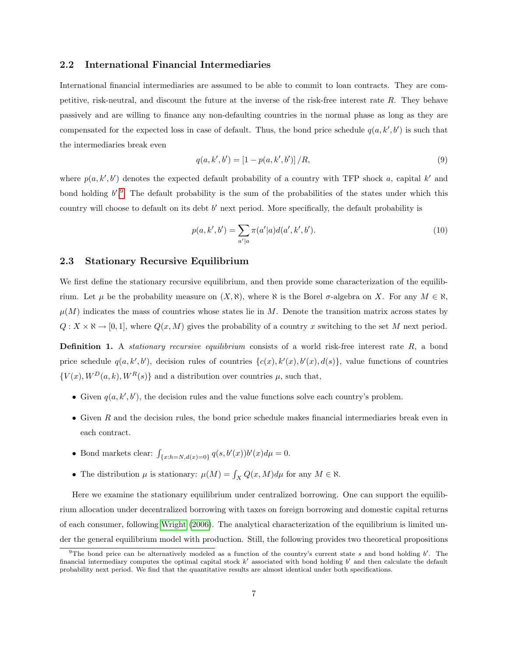#### 2.2 International Financial Intermediaries

International financial intermediaries are assumed to be able to commit to loan contracts. They are competitive, risk-neutral, and discount the future at the inverse of the risk-free interest rate R. They behave passively and are willing to finance any non-defaulting countries in the normal phase as long as they are compensated for the expected loss in case of default. Thus, the bond price schedule  $q(a, k', b')$  is such that the intermediaries break even

$$
q(a, k', b') = [1 - p(a, k', b')] / R,
$$
\n(9)

where  $p(a, k', b')$  denotes the expected default probability of a country with TFP shock a, capital k' and bond holding  $b'.<sup>9</sup>$  $b'.<sup>9</sup>$  $b'.<sup>9</sup>$ . The default probability is the sum of the probabilities of the states under which this country will choose to default on its debt  $b'$  next period. More specifically, the default probability is

$$
p(a, k', b') = \sum_{a'|a} \pi(a'|a) d(a', k', b').
$$
\n(10)

### 2.3 Stationary Recursive Equilibrium

We first define the stationary recursive equilibrium, and then provide some characterization of the equilibrium. Let  $\mu$  be the probability measure on  $(X, \aleph)$ , where  $\aleph$  is the Borel  $\sigma$ -algebra on X. For any  $M \in \aleph$ ,  $\mu(M)$  indicates the mass of countries whose states lie in M. Denote the transition matrix across states by  $Q: X \times \mathbb{N} \to [0, 1],$  where  $Q(x, M)$  gives the probability of a country x switching to the set M next period.

**Definition 1.** A *stationary recursive equilibrium* consists of a world risk-free interest rate  $R$ , a bond price schedule  $q(a, k', b')$ , decision rules of countries  $\{c(x), k'(x), b'(x), d(s)\}\$ , value functions of countries  ${V(x), W^D(a, k), W^R(s)}$  and a distribution over countries  $\mu$ , such that,

- Given  $q(a, k', b')$ , the decision rules and the value functions solve each country's problem.
- Given  $R$  and the decision rules, the bond price schedule makes financial intermediaries break even in each contract.
- Bond markets clear:  $\int_{\{x:h=N,d(x)=0\}} q(s,b'(x))b'(x)d\mu = 0.$
- The distribution  $\mu$  is stationary:  $\mu(M) = \int_X Q(x, M) d\mu$  for any  $M \in \mathbb{N}$ .

Here we examine the stationary equilibrium under centralized borrowing. One can support the equilibrium allocation under decentralized borrowing with taxes on foreign borrowing and domestic capital returns of each consumer, following [Wright](#page-26-4) [\(2006\)](#page-26-4). The analytical characterization of the equilibrium is limited under the general equilibrium model with production. Still, the following provides two theoretical propositions

<span id="page-8-0"></span><sup>&</sup>lt;sup>9</sup>The bond price can be alternatively modeled as a function of the country's current state s and bond holding  $b'$ . The financial intermediary computes the optimal capital stock  $k'$  associated with bond holding  $b'$  and then calculate the default probability next period. We find that the quantitative results are almost identical under both specifications.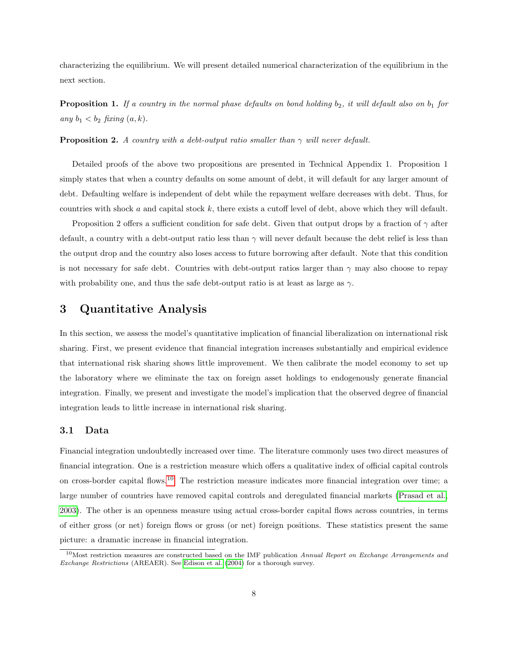characterizing the equilibrium. We will present detailed numerical characterization of the equilibrium in the next section.

**Proposition 1.** If a country in the normal phase defaults on bond holding  $b_2$ , it will default also on  $b_1$  for any  $b_1 < b_2$  fixing  $(a, k)$ .

**Proposition 2.** A country with a debt-output ratio smaller than  $\gamma$  will never default.

Detailed proofs of the above two propositions are presented in Technical Appendix 1. Proposition 1 simply states that when a country defaults on some amount of debt, it will default for any larger amount of debt. Defaulting welfare is independent of debt while the repayment welfare decreases with debt. Thus, for countries with shock a and capital stock  $k$ , there exists a cutoff level of debt, above which they will default.

Proposition 2 offers a sufficient condition for safe debt. Given that output drops by a fraction of  $\gamma$  after default, a country with a debt-output ratio less than  $\gamma$  will never default because the debt relief is less than the output drop and the country also loses access to future borrowing after default. Note that this condition is not necessary for safe debt. Countries with debt-output ratios larger than  $\gamma$  may also choose to repay with probability one, and thus the safe debt-output ratio is at least as large as  $\gamma$ .

## 3 Quantitative Analysis

In this section, we assess the model's quantitative implication of financial liberalization on international risk sharing. First, we present evidence that financial integration increases substantially and empirical evidence that international risk sharing shows little improvement. We then calibrate the model economy to set up the laboratory where we eliminate the tax on foreign asset holdings to endogenously generate financial integration. Finally, we present and investigate the model's implication that the observed degree of financial integration leads to little increase in international risk sharing.

#### 3.1 Data

Financial integration undoubtedly increased over time. The literature commonly uses two direct measures of financial integration. One is a restriction measure which offers a qualitative index of official capital controls on cross-border capital flows.[10](#page-9-0) The restriction measure indicates more financial integration over time; a large number of countries have removed capital controls and deregulated financial markets [\(Prasad et al.,](#page-25-0) [2003\)](#page-25-0). The other is an openness measure using actual cross-border capital flows across countries, in terms of either gross (or net) foreign flows or gross (or net) foreign positions. These statistics present the same picture: a dramatic increase in financial integration.

<span id="page-9-0"></span> $10$ Most restriction measures are constructed based on the IMF publication Annual Report on Exchange Arrangements and Exchange Restrictions (AREAER). See [Edison et al.](#page-24-7) [\(2004\)](#page-24-7) for a thorough survey.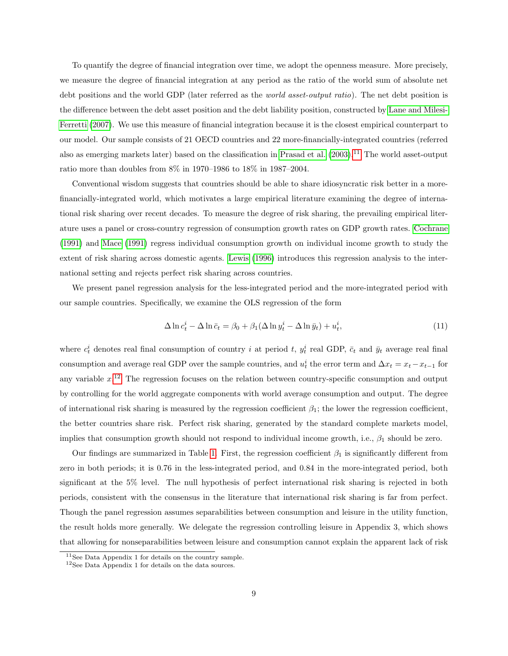To quantify the degree of financial integration over time, we adopt the openness measure. More precisely, we measure the degree of financial integration at any period as the ratio of the world sum of absolute net debt positions and the world GDP (later referred as the *world asset-output ratio*). The net debt position is the difference between the debt asset position and the debt liability position, constructed by [Lane and Milesi-](#page-25-6)[Ferretti](#page-25-6) [\(2007\)](#page-25-6). We use this measure of financial integration because it is the closest empirical counterpart to our model. Our sample consists of 21 OECD countries and 22 more-financially-integrated countries (referred also as emerging markets later) based on the classification in [Prasad et al.](#page-25-0) [\(2003\)](#page-25-0).[11](#page-10-0) The world asset-output ratio more than doubles from 8% in 1970–1986 to 18% in 1987–2004.

Conventional wisdom suggests that countries should be able to share idiosyncratic risk better in a morefinancially-integrated world, which motivates a large empirical literature examining the degree of international risk sharing over recent decades. To measure the degree of risk sharing, the prevailing empirical literature uses a panel or cross-country regression of consumption growth rates on GDP growth rates. [Cochrane](#page-24-8) [\(1991\)](#page-24-8) and [Mace](#page-25-7) [\(1991\)](#page-25-7) regress individual consumption growth on individual income growth to study the extent of risk sharing across domestic agents. [Lewis](#page-25-8) [\(1996\)](#page-25-8) introduces this regression analysis to the international setting and rejects perfect risk sharing across countries.

We present panel regression analysis for the less-integrated period and the more-integrated period with our sample countries. Specifically, we examine the OLS regression of the form

$$
\Delta \ln c_t^i - \Delta \ln \bar{c}_t = \beta_0 + \beta_1 (\Delta \ln y_t^i - \Delta \ln \bar{y}_t) + u_t^i, \tag{11}
$$

where  $c_t^i$  denotes real final consumption of country i at period t,  $y_t^i$  real GDP,  $\bar{c}_t$  and  $\bar{y}_t$  average real final consumption and average real GDP over the sample countries, and  $u_t^i$  the error term and  $\Delta x_t = x_t - x_{t-1}$  for any variable  $x<sup>12</sup>$  $x<sup>12</sup>$  $x<sup>12</sup>$ . The regression focuses on the relation between country-specific consumption and output by controlling for the world aggregate components with world average consumption and output. The degree of international risk sharing is measured by the regression coefficient  $\beta_1$ ; the lower the regression coefficient. the better countries share risk. Perfect risk sharing, generated by the standard complete markets model, implies that consumption growth should not respond to individual income growth, i.e.,  $\beta_1$  should be zero.

Our findings are summarized in Table [1.](#page-11-0) First, the regression coefficient  $\beta_1$  is significantly different from zero in both periods; it is 0.76 in the less-integrated period, and 0.84 in the more-integrated period, both significant at the 5% level. The null hypothesis of perfect international risk sharing is rejected in both periods, consistent with the consensus in the literature that international risk sharing is far from perfect. Though the panel regression assumes separabilities between consumption and leisure in the utility function, the result holds more generally. We delegate the regression controlling leisure in Appendix 3, which shows that allowing for nonseparabilities between leisure and consumption cannot explain the apparent lack of risk

<span id="page-10-0"></span><sup>11</sup>See Data Appendix 1 for details on the country sample.

<span id="page-10-1"></span><sup>12</sup>See Data Appendix 1 for details on the data sources.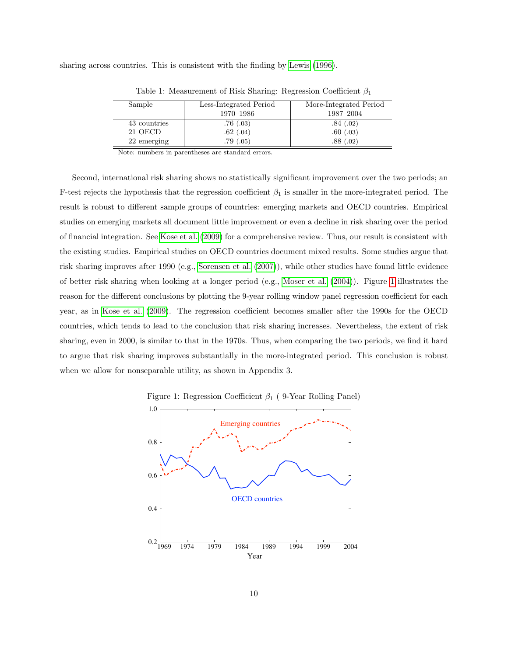sharing across countries. This is consistent with the finding by [Lewis](#page-25-8) [\(1996\)](#page-25-8).

 $\overline{a}$ 

| Sample       | Less-Integrated Period | More-Integrated Period |
|--------------|------------------------|------------------------|
|              | 1970–1986              | 1987-2004              |
| 43 countries | .76(.03)               | .84(.02)               |
| 21 OECD      | .62(0.04)              | .60(.03)               |
| 22 emerging  | .79(0.05)              | .88(.02)               |

<span id="page-11-0"></span>Table 1: Measurement of Risk Sharing: Regression Coefficient  $\beta_1$ 

Note: numbers in parentheses are standard errors.

Second, international risk sharing shows no statistically significant improvement over the two periods; an F-test rejects the hypothesis that the regression coefficient  $\beta_1$  is smaller in the more-integrated period. The result is robust to different sample groups of countries: emerging markets and OECD countries. Empirical studies on emerging markets all document little improvement or even a decline in risk sharing over the period of financial integration. See [Kose et al.](#page-25-1) [\(2009\)](#page-25-1) for a comprehensive review. Thus, our result is consistent with the existing studies. Empirical studies on OECD countries document mixed results. Some studies argue that risk sharing improves after 1990 (e.g., [Sorensen et al.](#page-26-5) [\(2007\)](#page-26-5)), while other studies have found little evidence of better risk sharing when looking at a longer period (e.g., [Moser et al.](#page-25-9) [\(2004\)](#page-25-9)). Figure [1](#page-11-1) illustrates the reason for the different conclusions by plotting the 9-year rolling window panel regression coefficient for each year, as in [Kose et al.](#page-25-1) [\(2009\)](#page-25-1). The regression coefficient becomes smaller after the 1990s for the OECD countries, which tends to lead to the conclusion that risk sharing increases. Nevertheless, the extent of risk sharing, even in 2000, is similar to that in the 1970s. Thus, when comparing the two periods, we find it hard to argue that risk sharing improves substantially in the more-integrated period. This conclusion is robust when we allow for nonseparable utility, as shown in Appendix 3.



<span id="page-11-1"></span>Figure 1: Regression Coefficient  $\beta_1$  ( 9-Year Rolling Panel)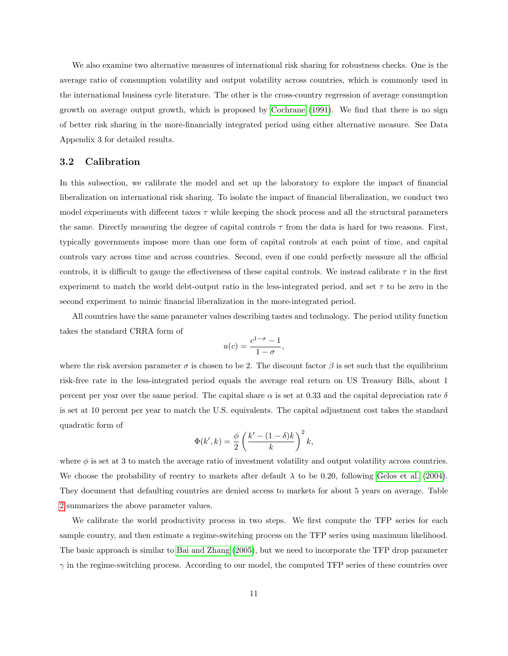We also examine two alternative measures of international risk sharing for robustness checks. One is the average ratio of consumption volatility and output volatility across countries, which is commonly used in the international business cycle literature. The other is the cross-country regression of average consumption growth on average output growth, which is proposed by [Cochrane](#page-24-8) [\(1991\)](#page-24-8). We find that there is no sign of better risk sharing in the more-financially integrated period using either alternative measure. See Data Appendix 3 for detailed results.

#### 3.2 Calibration

In this subsection, we calibrate the model and set up the laboratory to explore the impact of financial liberalization on international risk sharing. To isolate the impact of financial liberalization, we conduct two model experiments with different taxes  $\tau$  while keeping the shock process and all the structural parameters the same. Directly measuring the degree of capital controls  $\tau$  from the data is hard for two reasons. First, typically governments impose more than one form of capital controls at each point of time, and capital controls vary across time and across countries. Second, even if one could perfectly measure all the official controls, it is difficult to gauge the effectiveness of these capital controls. We instead calibrate  $\tau$  in the first experiment to match the world debt-output ratio in the less-integrated period, and set  $\tau$  to be zero in the second experiment to mimic financial liberalization in the more-integrated period.

All countries have the same parameter values describing tastes and technology. The period utility function takes the standard CRRA form of

$$
u(c) = \frac{c^{1-\sigma}-1}{1-\sigma},
$$

where the risk aversion parameter  $\sigma$  is chosen to be 2. The discount factor  $\beta$  is set such that the equilibrium risk-free rate in the less-integrated period equals the average real return on US Treasury Bills, about 1 percent per year over the same period. The capital share  $\alpha$  is set at 0.33 and the capital depreciation rate  $\delta$ is set at 10 percent per year to match the U.S. equivalents. The capital adjustment cost takes the standard quadratic form of

$$
\Phi(k',k) = \frac{\phi}{2} \left( \frac{k' - (1 - \delta)k}{k} \right)^2 k,
$$

where  $\phi$  is set at 3 to match the average ratio of investment volatility and output volatility across countries. We choose the probability of reentry to markets after default  $\lambda$  to be 0.20, following [Gelos et al.](#page-24-4) [\(2004\)](#page-24-4). They document that defaulting countries are denied access to markets for about 5 years on average. Table [2](#page-13-0) summarizes the above parameter values.

We calibrate the world productivity process in two steps. We first compute the TFP series for each sample country, and then estimate a regime-switching process on the TFP series using maximum likelihood. The basic approach is similar to [Bai and Zhang](#page-24-9) [\(2005\)](#page-24-9), but we need to incorporate the TFP drop parameter  $\gamma$  in the regime-switching process. According to our model, the computed TFP series of these countries over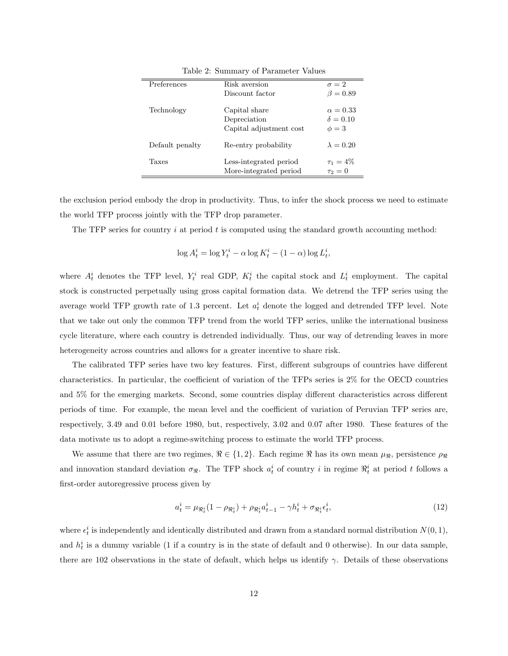| Preferences     | Risk aversion           | $\sigma = 2$     |
|-----------------|-------------------------|------------------|
|                 | Discount factor         | $\beta = 0.89$   |
| Technology      | Capital share           | $\alpha = 0.33$  |
|                 | Depreciation            | $\delta = 0.10$  |
|                 | Capital adjustment cost | $\phi=3$         |
| Default penalty | Re-entry probability    | $\lambda = 0.20$ |
| Taxes           | Less-integrated period  | $\tau_1 = 4\%$   |
|                 | More-integrated period  | $\tau_2=0$       |

<span id="page-13-0"></span>Table 2: Summary of Parameter Values

the exclusion period embody the drop in productivity. Thus, to infer the shock process we need to estimate the world TFP process jointly with the TFP drop parameter.

The TFP series for country  $i$  at period  $t$  is computed using the standard growth accounting method:

$$
\log A_t^i = \log Y_t^i - \alpha \log K_t^i - (1 - \alpha) \log L_t^i,
$$

where  $A_t^i$  denotes the TFP level,  $Y_t^i$  real GDP,  $K_t^i$  the capital stock and  $L_t^i$  employment. The capital stock is constructed perpetually using gross capital formation data. We detrend the TFP series using the average world TFP growth rate of 1.3 percent. Let  $a_t^i$  denote the logged and detrended TFP level. Note that we take out only the common TFP trend from the world TFP series, unlike the international business cycle literature, where each country is detrended individually. Thus, our way of detrending leaves in more heterogeneity across countries and allows for a greater incentive to share risk.

The calibrated TFP series have two key features. First, different subgroups of countries have different characteristics. In particular, the coefficient of variation of the TFPs series is 2% for the OECD countries and 5% for the emerging markets. Second, some countries display different characteristics across different periods of time. For example, the mean level and the coefficient of variation of Peruvian TFP series are, respectively, 3.49 and 0.01 before 1980, but, respectively, 3.02 and 0.07 after 1980. These features of the data motivate us to adopt a regime-switching process to estimate the world TFP process.

We assume that there are two regimes,  $\Re \in \{1, 2\}$ . Each regime  $\Re$  has its own mean  $\mu_{\Re}$ , persistence  $\rho_{\Re}$ and innovation standard deviation  $\sigma_{\Re}$ . The TFP shock  $a_t^i$  of country i in regime  $\Re_t^i$  at period t follows a first-order autoregressive process given by

<span id="page-13-1"></span>
$$
a_t^i = \mu_{\Re_t^i} (1 - \rho_{\Re_t^i}) + \rho_{\Re_t^i} a_{t-1}^i - \gamma h_t^i + \sigma_{\Re_t^i} \epsilon_t^i, \tag{12}
$$

where  $\epsilon_t^i$  is independently and identically distributed and drawn from a standard normal distribution  $N(0, 1)$ , and  $h_t^i$  is a dummy variable (1 if a country is in the state of default and 0 otherwise). In our data sample, there are 102 observations in the state of default, which helps us identify  $\gamma$ . Details of these observations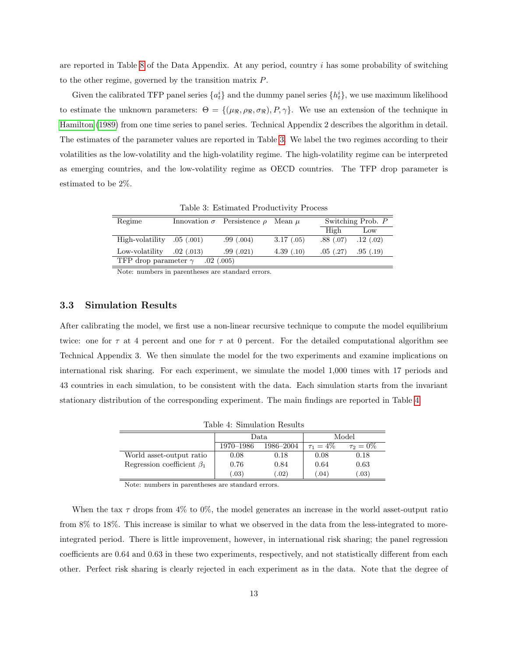are reported in Table [8](#page-28-0) of the Data Appendix. At any period, country i has some probability of switching to the other regime, governed by the transition matrix P.

Given the calibrated TFP panel series  $\{a_t^i\}$  and the dummy panel series  $\{h_t^i\}$ , we use maximum likelihood to estimate the unknown parameters:  $\Theta = \{(\mu_{\Re}, \rho_{\Re}, \sigma_{\Re}), P, \gamma\}.$  We use an extension of the technique in [Hamilton](#page-24-10) [\(1989\)](#page-24-10) from one time series to panel series. Technical Appendix 2 describes the algorithm in detail. The estimates of the parameter values are reported in Table [3.](#page-14-0) We label the two regimes according to their volatilities as the low-volatility and the high-volatility regime. The high-volatility regime can be interpreted as emerging countries, and the low-volatility regime as OECD countries. The TFP drop parameter is estimated to be 2%.

| Regime                       |              | Innovation $\sigma$ Persistence $\rho$ Mean $\mu$ |            |           | Switching Prob. P |
|------------------------------|--------------|---------------------------------------------------|------------|-----------|-------------------|
|                              |              |                                                   |            | High      | Low               |
| High-volatility $.05$ (.001) |              | .99(.004)                                         | 3.17(.05)  | .88(.07)  | .12(0.02)         |
| Low-volatility               | .02(0.013)   | .99(.021)                                         | 4.39(0.10) | .05(0.27) | .95(0.19)         |
| TFP drop parameter $\gamma$  | $.02$ (.005) |                                                   |            |           |                   |
|                              |              |                                                   |            |           |                   |

<span id="page-14-0"></span>Table 3: Estimated Productivity Process

Note: numbers in parentheses are standard errors.

### 3.3 Simulation Results

After calibrating the model, we first use a non-linear recursive technique to compute the model equilibrium twice: one for  $\tau$  at 4 percent and one for  $\tau$  at 0 percent. For the detailed computational algorithm see Technical Appendix 3. We then simulate the model for the two experiments and examine implications on international risk sharing. For each experiment, we simulate the model 1,000 times with 17 periods and 43 countries in each simulation, to be consistent with the data. Each simulation starts from the invariant stationary distribution of the corresponding experiment. The main findings are reported in Table [4.](#page-14-1)

<span id="page-14-1"></span>

| Table 4: Simulation Results      |                |           |                |              |
|----------------------------------|----------------|-----------|----------------|--------------|
|                                  | Model<br>Data. |           |                |              |
|                                  | 1970–1986      | 1986–2004 | $\tau_1 = 4\%$ | $\tau_2=0\%$ |
| World asset-output ratio         | 0.08           | 0.18      | 0.08           | 0.18         |
| Regression coefficient $\beta_1$ | 0.76           | 0.84      | 0.64           | 0.63         |
|                                  | (0.03)         | (.02)     | (.04)          | (.03)        |

Note: numbers in parentheses are standard errors.

When the tax  $\tau$  drops from 4% to 0%, the model generates an increase in the world asset-output ratio from 8% to 18%. This increase is similar to what we observed in the data from the less-integrated to moreintegrated period. There is little improvement, however, in international risk sharing; the panel regression coefficients are 0.64 and 0.63 in these two experiments, respectively, and not statistically different from each other. Perfect risk sharing is clearly rejected in each experiment as in the data. Note that the degree of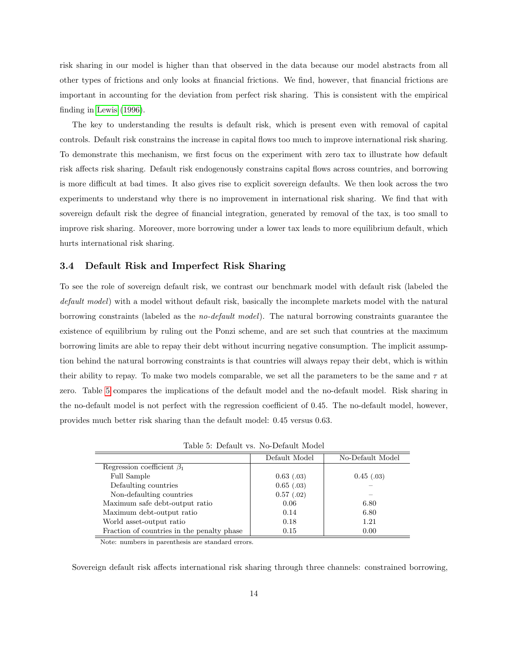risk sharing in our model is higher than that observed in the data because our model abstracts from all other types of frictions and only looks at financial frictions. We find, however, that financial frictions are important in accounting for the deviation from perfect risk sharing. This is consistent with the empirical finding in [Lewis](#page-25-8) [\(1996\)](#page-25-8).

The key to understanding the results is default risk, which is present even with removal of capital controls. Default risk constrains the increase in capital flows too much to improve international risk sharing. To demonstrate this mechanism, we first focus on the experiment with zero tax to illustrate how default risk affects risk sharing. Default risk endogenously constrains capital flows across countries, and borrowing is more difficult at bad times. It also gives rise to explicit sovereign defaults. We then look across the two experiments to understand why there is no improvement in international risk sharing. We find that with sovereign default risk the degree of financial integration, generated by removal of the tax, is too small to improve risk sharing. Moreover, more borrowing under a lower tax leads to more equilibrium default, which hurts international risk sharing.

#### 3.4 Default Risk and Imperfect Risk Sharing

To see the role of sovereign default risk, we contrast our benchmark model with default risk (labeled the default model) with a model without default risk, basically the incomplete markets model with the natural borrowing constraints (labeled as the no-default model). The natural borrowing constraints guarantee the existence of equilibrium by ruling out the Ponzi scheme, and are set such that countries at the maximum borrowing limits are able to repay their debt without incurring negative consumption. The implicit assumption behind the natural borrowing constraints is that countries will always repay their debt, which is within their ability to repay. To make two models comparable, we set all the parameters to be the same and  $\tau$  at zero. Table [5](#page-15-0) compares the implications of the default model and the no-default model. Risk sharing in the no-default model is not perfect with the regression coefficient of 0.45. The no-default model, however, provides much better risk sharing than the default model: 0.45 versus 0.63.

<span id="page-15-0"></span>Table 5: Default vs. No-Default Model

|                                            | Default Model | No-Default Model |
|--------------------------------------------|---------------|------------------|
| Regression coefficient $\beta_1$           |               |                  |
| Full Sample                                | $0.63$ (.03)  | 0.45(0.03)       |
| Defaulting countries                       | $0.65$ (.03)  |                  |
| Non-defaulting countries                   | 0.57(0.02)    |                  |
| Maximum safe debt-output ratio             | 0.06          | 6.80             |
| Maximum debt-output ratio                  | 0.14          | 6.80             |
| World asset-output ratio                   | 0.18          | 1.21             |
| Fraction of countries in the penalty phase | 0.15          | 0.00             |

Note: numbers in parenthesis are standard errors.

Sovereign default risk affects international risk sharing through three channels: constrained borrowing,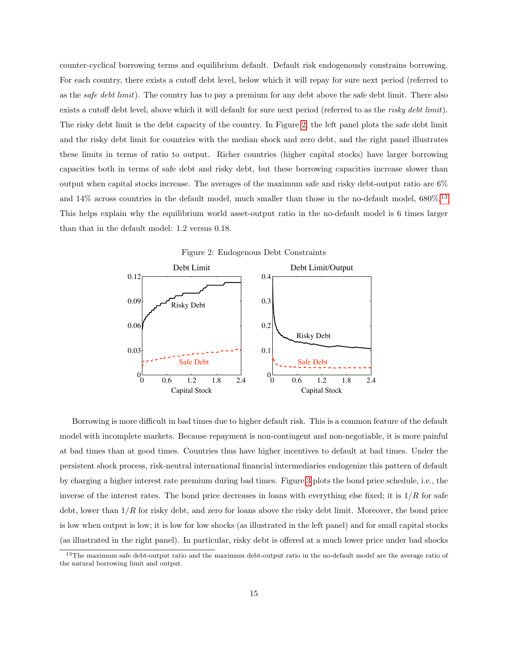counter-cyclical borrowing terms and equilibrium default. Default risk endogenously constrains borrowing. For each country, there exists a cutoff debt level, below which it will repay for sure next period (referred to as the *safe debt limit*). The country has to pay a premium for any debt above the safe debt limit. There also exists a cutoff debt level, above which it will default for sure next period (referred to as the risky debt limit). The risky debt limit is the debt capacity of the country. In Figure [2,](#page-16-0) the left panel plots the safe debt limit and the risky debt limit for countries with the median shock and zero debt, and the right panel illustrates these limits in terms of ratio to output. Richer countries (higher capital stocks) have larger borrowing capacities both in terms of safe debt and risky debt, but these borrowing capacities increase slower than output when capital stocks increase. The averages of the maximum safe and risky debt-output ratio are 6% and 14% across countries in the default model, much smaller than those in the no-default model, 680%.[13](#page-16-1) This helps explain why the equilibrium world asset-output ratio in the no-default model is 6 times larger than that in the default model: 1.2 versus 0.18.

<span id="page-16-0"></span>

Borrowing is more difficult in bad times due to higher default risk. This is a common feature of the default model with incomplete markets. Because repayment is non-contingent and non-negotiable, it is more painful at bad times than at good times. Countries thus have higher incentives to default at bad times. Under the persistent shock process, risk-neutral international financial intermediaries endogenize this pattern of default by charging a higher interest rate premium during bad times. Figure [3](#page-17-0) plots the bond price schedule, i.e., the inverse of the interest rates. The bond price decreases in loans with everything else fixed; it is  $1/R$  for safe debt, lower than  $1/R$  for risky debt, and zero for loans above the risky debt limit. Moreover, the bond price is low when output is low; it is low for low shocks (as illustrated in the left panel) and for small capital stocks (as illustrated in the right panel). In particular, risky debt is offered at a much lower price under bad shocks

<span id="page-16-1"></span><sup>&</sup>lt;sup>13</sup>The maximum safe debt-output ratio and the maximum debt-output ratio in the no-default model are the average ratio of the natural borrowing limit and output.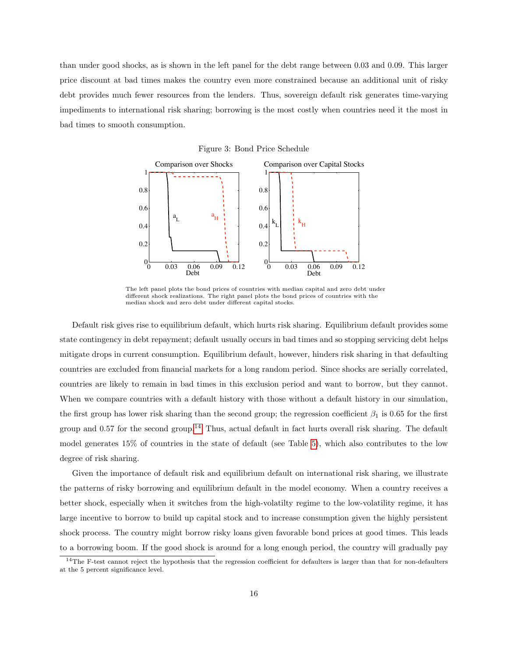than under good shocks, as is shown in the left panel for the debt range between 0.03 and 0.09. This larger price discount at bad times makes the country even more constrained because an additional unit of risky debt provides much fewer resources from the lenders. Thus, sovereign default risk generates time-varying impediments to international risk sharing; borrowing is the most costly when countries need it the most in bad times to smooth consumption.

<span id="page-17-0"></span>

The left panel plots the bond prices of countries with median capital and zero debt under different shock realizations. The right panel plots the bond prices of countries with the median shock and zero debt under different capital stocks.

Default risk gives rise to equilibrium default, which hurts risk sharing. Equilibrium default provides some state contingency in debt repayment; default usually occurs in bad times and so stopping servicing debt helps mitigate drops in current consumption. Equilibrium default, however, hinders risk sharing in that defaulting countries are excluded from financial markets for a long random period. Since shocks are serially correlated, countries are likely to remain in bad times in this exclusion period and want to borrow, but they cannot. When we compare countries with a default history with those without a default history in our simulation, the first group has lower risk sharing than the second group; the regression coefficient  $\beta_1$  is 0.65 for the first group and 0.57 for the second group.[14](#page-17-1) Thus, actual default in fact hurts overall risk sharing. The default model generates 15% of countries in the state of default (see Table [5\)](#page-15-0), which also contributes to the low degree of risk sharing.

Given the importance of default risk and equilibrium default on international risk sharing, we illustrate the patterns of risky borrowing and equilibrium default in the model economy. When a country receives a better shock, especially when it switches from the high-volatilty regime to the low-volatility regime, it has large incentive to borrow to build up capital stock and to increase consumption given the highly persistent shock process. The country might borrow risky loans given favorable bond prices at good times. This leads to a borrowing boom. If the good shock is around for a long enough period, the country will gradually pay

<span id="page-17-1"></span><sup>&</sup>lt;sup>14</sup>The F-test cannot reject the hypothesis that the regression coefficient for defaulters is larger than that for non-defaulters at the 5 percent significance level.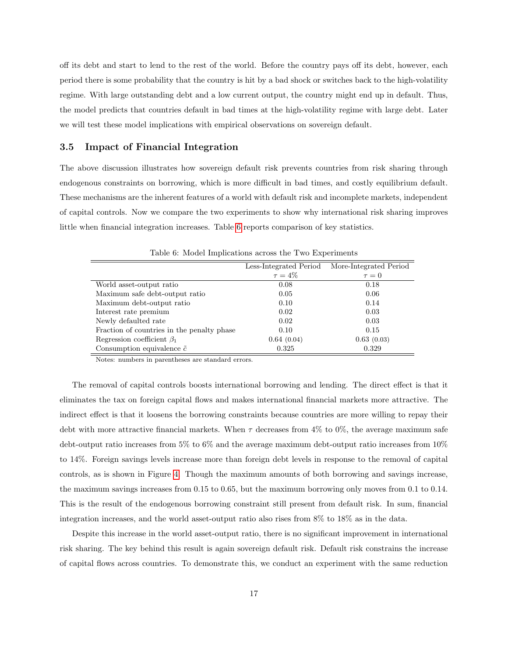off its debt and start to lend to the rest of the world. Before the country pays off its debt, however, each period there is some probability that the country is hit by a bad shock or switches back to the high-volatility regime. With large outstanding debt and a low current output, the country might end up in default. Thus, the model predicts that countries default in bad times at the high-volatility regime with large debt. Later we will test these model implications with empirical observations on sovereign default.

#### 3.5 Impact of Financial Integration

The above discussion illustrates how sovereign default risk prevents countries from risk sharing through endogenous constraints on borrowing, which is more difficult in bad times, and costly equilibrium default. These mechanisms are the inherent features of a world with default risk and incomplete markets, independent of capital controls. Now we compare the two experiments to show why international risk sharing improves little when financial integration increases. Table [6](#page-18-0) reports comparison of key statistics.

|                                            | Less-Integrated Period | More-Integrated Period |
|--------------------------------------------|------------------------|------------------------|
|                                            | $\tau = 4\%$           | $\tau = 0$             |
| World asset-output ratio                   | 0.08                   | 0.18                   |
| Maximum safe debt-output ratio             | 0.05                   | 0.06                   |
| Maximum debt-output ratio                  | 0.10                   | 0.14                   |
| Interest rate premium                      | 0.02                   | 0.03                   |
| Newly defaulted rate                       | 0.02                   | 0.03                   |
| Fraction of countries in the penalty phase | 0.10                   | 0.15                   |
| Regression coefficient $\beta_1$           | 0.64(0.04)             | 0.63(0.03)             |
| Consumption equivalence $\tilde{c}$        | 0.325                  | 0.329                  |

<span id="page-18-0"></span>Table 6: Model Implications across the Two Experiments

Notes: numbers in parentheses are standard errors.

The removal of capital controls boosts international borrowing and lending. The direct effect is that it eliminates the tax on foreign capital flows and makes international financial markets more attractive. The indirect effect is that it loosens the borrowing constraints because countries are more willing to repay their debt with more attractive financial markets. When  $\tau$  decreases from 4% to 0%, the average maximum safe debt-output ratio increases from 5% to 6% and the average maximum debt-output ratio increases from 10% to 14%. Foreign savings levels increase more than foreign debt levels in response to the removal of capital controls, as is shown in Figure [4.](#page-19-0) Though the maximum amounts of both borrowing and savings increase, the maximum savings increases from 0.15 to 0.65, but the maximum borrowing only moves from 0.1 to 0.14. This is the result of the endogenous borrowing constraint still present from default risk. In sum, financial integration increases, and the world asset-output ratio also rises from 8% to 18% as in the data.

Despite this increase in the world asset-output ratio, there is no significant improvement in international risk sharing. The key behind this result is again sovereign default risk. Default risk constrains the increase of capital flows across countries. To demonstrate this, we conduct an experiment with the same reduction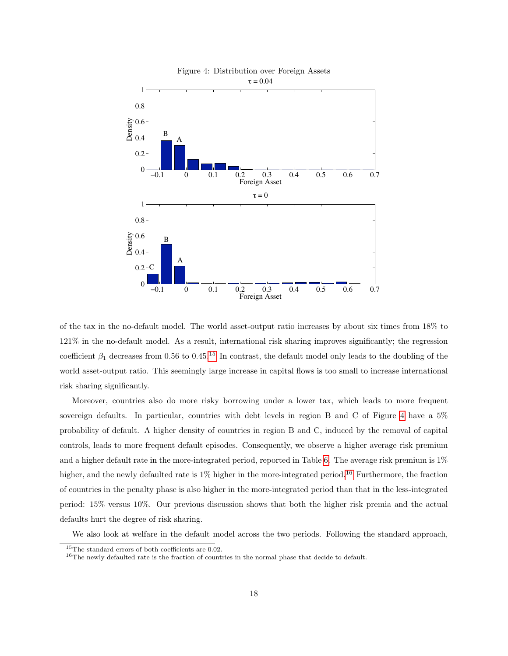<span id="page-19-0"></span>

of the tax in the no-default model. The world asset-output ratio increases by about six times from 18% to 121% in the no-default model. As a result, international risk sharing improves significantly; the regression coefficient  $\beta_1$  decreases from 0.56 to 0.45.<sup>[15](#page-19-1)</sup> In contrast, the default model only leads to the doubling of the world asset-output ratio. This seemingly large increase in capital flows is too small to increase international risk sharing significantly.

Moreover, countries also do more risky borrowing under a lower tax, which leads to more frequent sovereign defaults. In particular, countries with debt levels in region B and C of Figure [4](#page-19-0) have a 5% probability of default. A higher density of countries in region B and C, induced by the removal of capital controls, leads to more frequent default episodes. Consequently, we observe a higher average risk premium and a higher default rate in the more-integrated period, reported in Table [6.](#page-18-0) The average risk premium is 1% higher, and the newly defaulted rate is 1% higher in the more-integrated period.<sup>[16](#page-19-2)</sup> Furthermore, the fraction of countries in the penalty phase is also higher in the more-integrated period than that in the less-integrated period: 15% versus 10%. Our previous discussion shows that both the higher risk premia and the actual defaults hurt the degree of risk sharing.

We also look at welfare in the default model across the two periods. Following the standard approach,

<span id="page-19-1"></span><sup>&</sup>lt;sup>15</sup>The standard errors of both coefficients are 0.02.

<span id="page-19-2"></span><sup>&</sup>lt;sup>16</sup>The newly defaulted rate is the fraction of countries in the normal phase that decide to default.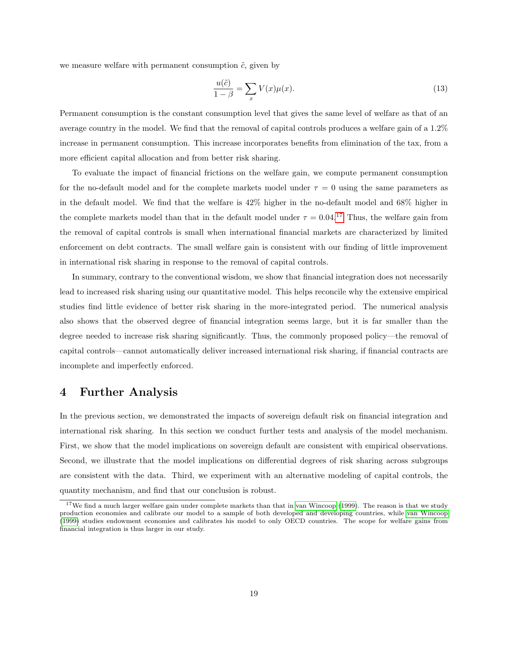we measure welfare with permanent consumption  $\tilde{c}$ , given by

$$
\frac{u(\tilde{c})}{1-\beta} = \sum_{x} V(x)\mu(x). \tag{13}
$$

Permanent consumption is the constant consumption level that gives the same level of welfare as that of an average country in the model. We find that the removal of capital controls produces a welfare gain of a 1.2% increase in permanent consumption. This increase incorporates benefits from elimination of the tax, from a more efficient capital allocation and from better risk sharing.

To evaluate the impact of financial frictions on the welfare gain, we compute permanent consumption for the no-default model and for the complete markets model under  $\tau = 0$  using the same parameters as in the default model. We find that the welfare is 42% higher in the no-default model and 68% higher in the complete markets model than that in the default model under  $\tau = 0.04$ .<sup>[17](#page-20-0)</sup> Thus, the welfare gain from the removal of capital controls is small when international financial markets are characterized by limited enforcement on debt contracts. The small welfare gain is consistent with our finding of little improvement in international risk sharing in response to the removal of capital controls.

In summary, contrary to the conventional wisdom, we show that financial integration does not necessarily lead to increased risk sharing using our quantitative model. This helps reconcile why the extensive empirical studies find little evidence of better risk sharing in the more-integrated period. The numerical analysis also shows that the observed degree of financial integration seems large, but it is far smaller than the degree needed to increase risk sharing significantly. Thus, the commonly proposed policy—the removal of capital controls—cannot automatically deliver increased international risk sharing, if financial contracts are incomplete and imperfectly enforced.

### 4 Further Analysis

In the previous section, we demonstrated the impacts of sovereign default risk on financial integration and international risk sharing. In this section we conduct further tests and analysis of the model mechanism. First, we show that the model implications on sovereign default are consistent with empirical observations. Second, we illustrate that the model implications on differential degrees of risk sharing across subgroups are consistent with the data. Third, we experiment with an alternative modeling of capital controls, the quantity mechanism, and find that our conclusion is robust.

<span id="page-20-0"></span><sup>&</sup>lt;sup>17</sup>We find a much larger welfare gain under complete markets than that in [van Wincoop](#page-26-2) [\(1999\)](#page-26-2). The reason is that we study production economies and calibrate our model to a sample of both developed and developing countries, while [van Wincoop](#page-26-2) [\(1999\)](#page-26-2) studies endowment economies and calibrates his model to only OECD countries. The scope for welfare gains from financial integration is thus larger in our study.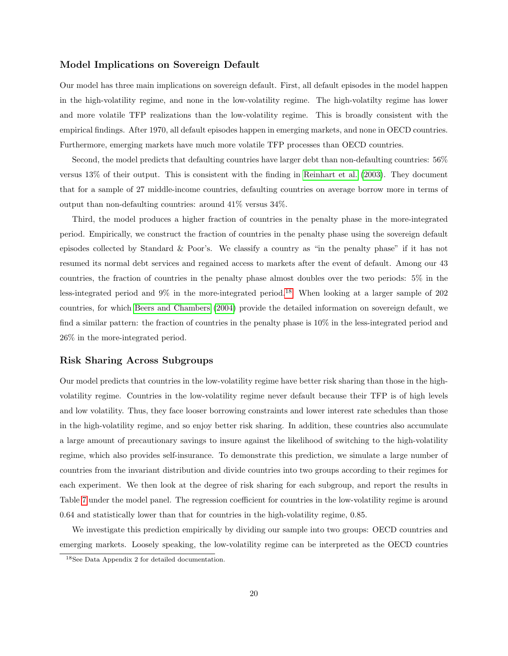### Model Implications on Sovereign Default

Our model has three main implications on sovereign default. First, all default episodes in the model happen in the high-volatility regime, and none in the low-volatility regime. The high-volatilty regime has lower and more volatile TFP realizations than the low-volatility regime. This is broadly consistent with the empirical findings. After 1970, all default episodes happen in emerging markets, and none in OECD countries. Furthermore, emerging markets have much more volatile TFP processes than OECD countries.

Second, the model predicts that defaulting countries have larger debt than non-defaulting countries: 56% versus 13% of their output. This is consistent with the finding in [Reinhart et al.](#page-25-10) [\(2003\)](#page-25-10). They document that for a sample of 27 middle-income countries, defaulting countries on average borrow more in terms of output than non-defaulting countries: around 41% versus 34%.

Third, the model produces a higher fraction of countries in the penalty phase in the more-integrated period. Empirically, we construct the fraction of countries in the penalty phase using the sovereign default episodes collected by Standard & Poor's. We classify a country as "in the penalty phase" if it has not resumed its normal debt services and regained access to markets after the event of default. Among our 43 countries, the fraction of countries in the penalty phase almost doubles over the two periods: 5% in the less-integrated period and 9% in the more-integrated period.<sup>[18](#page-21-0)</sup> When looking at a larger sample of 202 countries, for which [Beers and Chambers](#page-24-11) [\(2004\)](#page-24-11) provide the detailed information on sovereign default, we find a similar pattern: the fraction of countries in the penalty phase is 10% in the less-integrated period and 26% in the more-integrated period.

### Risk Sharing Across Subgroups

Our model predicts that countries in the low-volatility regime have better risk sharing than those in the highvolatility regime. Countries in the low-volatility regime never default because their TFP is of high levels and low volatility. Thus, they face looser borrowing constraints and lower interest rate schedules than those in the high-volatility regime, and so enjoy better risk sharing. In addition, these countries also accumulate a large amount of precautionary savings to insure against the likelihood of switching to the high-volatility regime, which also provides self-insurance. To demonstrate this prediction, we simulate a large number of countries from the invariant distribution and divide countries into two groups according to their regimes for each experiment. We then look at the degree of risk sharing for each subgroup, and report the results in Table [7](#page-22-0) under the model panel. The regression coefficient for countries in the low-volatility regime is around 0.64 and statistically lower than that for countries in the high-volatility regime, 0.85.

We investigate this prediction empirically by dividing our sample into two groups: OECD countries and emerging markets. Loosely speaking, the low-volatility regime can be interpreted as the OECD countries

<span id="page-21-0"></span><sup>18</sup>See Data Appendix 2 for detailed documentation.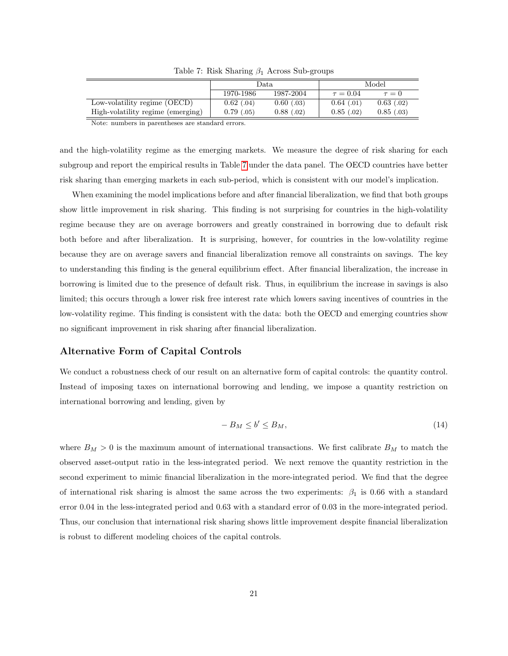|                                   | Data.        |              | Model         |              |
|-----------------------------------|--------------|--------------|---------------|--------------|
|                                   | 1970-1986    | 1987-2004    | $\tau = 0.04$ | $\tau=0$     |
| Low-volatility regime (OECD)      | $0.62$ (.04) | $0.60$ (.03) | 0.64(0.01)    | $0.63$ (.02) |
| High-volatility regime (emerging) | 0.79(0.05)   | 0.88(0.02)   | 0.85(0.02)    | 0.85(0.03)   |

<span id="page-22-0"></span>Table 7: Risk Sharing  $\beta_1$  Across Sub-groups

Note: numbers in parentheses are standard errors.

and the high-volatility regime as the emerging markets. We measure the degree of risk sharing for each subgroup and report the empirical results in Table [7](#page-22-0) under the data panel. The OECD countries have better risk sharing than emerging markets in each sub-period, which is consistent with our model's implication.

When examining the model implications before and after financial liberalization, we find that both groups show little improvement in risk sharing. This finding is not surprising for countries in the high-volatility regime because they are on average borrowers and greatly constrained in borrowing due to default risk both before and after liberalization. It is surprising, however, for countries in the low-volatility regime because they are on average savers and financial liberalization remove all constraints on savings. The key to understanding this finding is the general equilibrium effect. After financial liberalization, the increase in borrowing is limited due to the presence of default risk. Thus, in equilibrium the increase in savings is also limited; this occurs through a lower risk free interest rate which lowers saving incentives of countries in the low-volatility regime. This finding is consistent with the data: both the OECD and emerging countries show no significant improvement in risk sharing after financial liberalization.

### Alternative Form of Capital Controls

We conduct a robustness check of our result on an alternative form of capital controls: the quantity control. Instead of imposing taxes on international borrowing and lending, we impose a quantity restriction on international borrowing and lending, given by

$$
-B_M \le b' \le B_M,\tag{14}
$$

where  $B_M > 0$  is the maximum amount of international transactions. We first calibrate  $B_M$  to match the observed asset-output ratio in the less-integrated period. We next remove the quantity restriction in the second experiment to mimic financial liberalization in the more-integrated period. We find that the degree of international risk sharing is almost the same across the two experiments:  $\beta_1$  is 0.66 with a standard error 0.04 in the less-integrated period and 0.63 with a standard error of 0.03 in the more-integrated period. Thus, our conclusion that international risk sharing shows little improvement despite financial liberalization is robust to different modeling choices of the capital controls.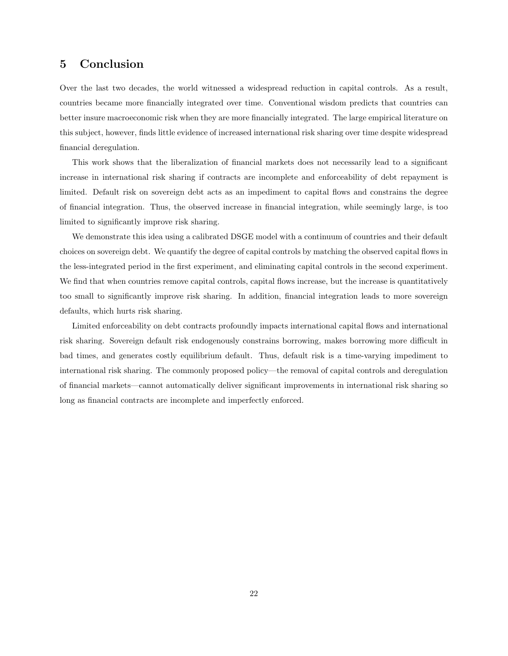## 5 Conclusion

Over the last two decades, the world witnessed a widespread reduction in capital controls. As a result, countries became more financially integrated over time. Conventional wisdom predicts that countries can better insure macroeconomic risk when they are more financially integrated. The large empirical literature on this subject, however, finds little evidence of increased international risk sharing over time despite widespread financial deregulation.

This work shows that the liberalization of financial markets does not necessarily lead to a significant increase in international risk sharing if contracts are incomplete and enforceability of debt repayment is limited. Default risk on sovereign debt acts as an impediment to capital flows and constrains the degree of financial integration. Thus, the observed increase in financial integration, while seemingly large, is too limited to significantly improve risk sharing.

We demonstrate this idea using a calibrated DSGE model with a continuum of countries and their default choices on sovereign debt. We quantify the degree of capital controls by matching the observed capital flows in the less-integrated period in the first experiment, and eliminating capital controls in the second experiment. We find that when countries remove capital controls, capital flows increase, but the increase is quantitatively too small to significantly improve risk sharing. In addition, financial integration leads to more sovereign defaults, which hurts risk sharing.

Limited enforceability on debt contracts profoundly impacts international capital flows and international risk sharing. Sovereign default risk endogenously constrains borrowing, makes borrowing more difficult in bad times, and generates costly equilibrium default. Thus, default risk is a time-varying impediment to international risk sharing. The commonly proposed policy—the removal of capital controls and deregulation of financial markets—cannot automatically deliver significant improvements in international risk sharing so long as financial contracts are incomplete and imperfectly enforced.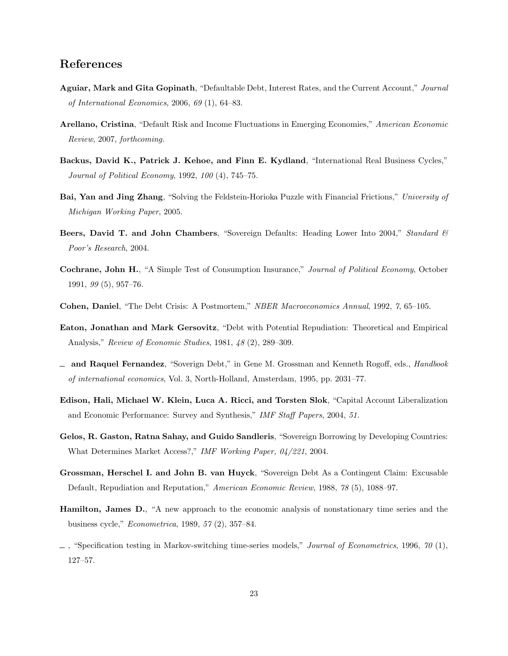# References

- <span id="page-24-1"></span>Aguiar, Mark and Gita Gopinath, "Defaultable Debt, Interest Rates, and the Current Account," Journal of International Economics, 2006, 69 (1), 64–83.
- <span id="page-24-2"></span>Arellano, Cristina, "Default Risk and Income Fluctuations in Emerging Economies," American Economic Review, 2007, forthcoming.
- <span id="page-24-12"></span>Backus, David K., Patrick J. Kehoe, and Finn E. Kydland, "International Real Business Cycles," Journal of Political Economy, 1992, 100 (4), 745–75.
- <span id="page-24-9"></span>Bai, Yan and Jing Zhang, "Solving the Feldstein-Horioka Puzzle with Financial Frictions," University of Michigan Working Paper, 2005.
- <span id="page-24-11"></span>Beers, David T. and John Chambers, "Sovereign Defaults: Heading Lower Into 2004," Standard & Poor's Research, 2004.
- <span id="page-24-8"></span>Cochrane, John H., "A Simple Test of Consumption Insurance," Journal of Political Economy, October 1991, 99 (5), 957–76.
- <span id="page-24-5"></span>Cohen, Daniel, "The Debt Crisis: A Postmortem," NBER Macroeconomics Annual, 1992, 7, 65–105.
- <span id="page-24-0"></span>Eaton, Jonathan and Mark Gersovitz, "Debt with Potential Repudiation: Theoretical and Empirical Analysis," Review of Economic Studies, 1981, 48 (2), 289–309.
- <span id="page-24-6"></span> $-$  and Raquel Fernandez, "Soverign Debt," in Gene M. Grossman and Kenneth Rogoff, eds., *Handbook* of international economics, Vol. 3, North-Holland, Amsterdam, 1995, pp. 2031–77.
- <span id="page-24-7"></span>Edison, Hali, Michael W. Klein, Luca A. Ricci, and Torsten Slok, "Capital Account Liberalization and Economic Performance: Survey and Synthesis," IMF Staff Papers, 2004, 51.
- <span id="page-24-4"></span>Gelos, R. Gaston, Ratna Sahay, and Guido Sandleris, "Sovereign Borrowing by Developing Countries: What Determines Market Access?," IMF Working Paper, 04/221, 2004.
- <span id="page-24-3"></span>Grossman, Herschel I. and John B. van Huyck, "Sovereign Debt As a Contingent Claim: Excusable Default, Repudiation and Reputation," American Economic Review, 1988, 78 (5), 1088–97.
- <span id="page-24-10"></span>Hamilton, James D., "A new approach to the economic analysis of nonstationary time series and the business cycle," Econometrica, 1989, 57 (2), 357–84.
- <span id="page-24-13"></span> $\mu$ , "Specification testing in Markov-switching time-series models," Journal of Econometrics, 1996, 70 (1), 127–57.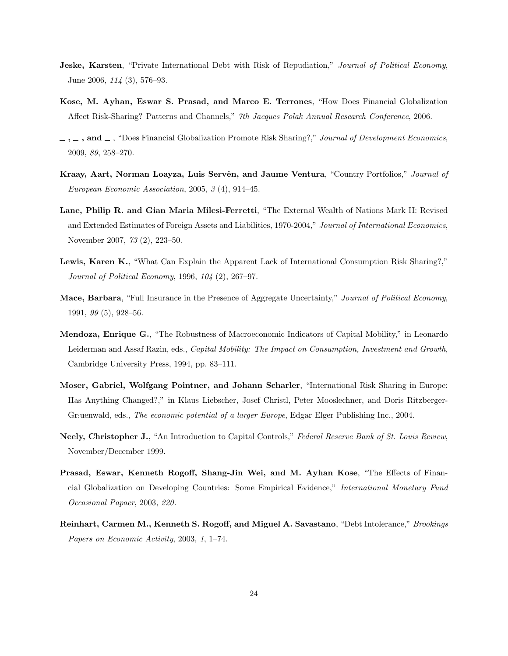- <span id="page-25-5"></span>**Jeske, Karsten**, "Private International Debt with Risk of Repudiation," *Journal of Political Economy* June 2006, 114 (3), 576–93.
- Kose, M. Ayhan, Eswar S. Prasad, and Marco E. Terrones, "How Does Financial Globalization Affect Risk-Sharing? Patterns and Channels," 7th Jacques Polak Annual Research Conference, 2006.
- <span id="page-25-1"></span> $\ldots$ , and  $\ldots$ , "Does Financial Globalization Promote Risk Sharing?," Journal of Development Economics, 2009, 89, 258–270.
- <span id="page-25-2"></span>Kraay, Aart, Norman Loayza, Luis Serven, and Jaume Ventura, "Country Portfolios," Journal of European Economic Association, 2005, 3 (4), 914–45.
- <span id="page-25-6"></span>Lane, Philip R. and Gian Maria Milesi-Ferretti, "The External Wealth of Nations Mark II: Revised and Extended Estimates of Foreign Assets and Liabilities, 1970-2004," Journal of International Economics, November 2007, 73 (2), 223–50.
- <span id="page-25-8"></span>Lewis, Karen K., "What Can Explain the Apparent Lack of International Consumption Risk Sharing?," Journal of Political Economy, 1996, 104 (2), 267–97.
- <span id="page-25-7"></span>Mace, Barbara, "Full Insurance in the Presence of Aggregate Uncertainty," Journal of Political Economy, 1991, 99 (5), 928–56.
- <span id="page-25-4"></span>Mendoza, Enrique G., "The Robustness of Macroeconomic Indicators of Capital Mobility," in Leonardo Leiderman and Assaf Razin, eds., *Capital Mobility: The Impact on Consumption, Investment and Growth*, Cambridge University Press, 1994, pp. 83–111.
- <span id="page-25-9"></span>Moser, Gabriel, Wolfgang Pointner, and Johann Scharler, "International Risk Sharing in Europe: Has Anything Changed?," in Klaus Liebscher, Josef Christl, Peter Mooslechner, and Doris Ritzberger-Gr:uenwald, eds., *The economic potential of a larger Europe*, Edgar Elger Publishing Inc., 2004.
- <span id="page-25-3"></span>Neely, Christopher J., "An Introduction to Capital Controls," Federal Reserve Bank of St. Louis Review, November/December 1999.
- <span id="page-25-0"></span>Prasad, Eswar, Kenneth Rogoff, Shang-Jin Wei, and M. Ayhan Kose, "The Effects of Financial Globalization on Developing Countries: Some Empirical Evidence," International Monetary Fund Occasional Papaer, 2003, 220.
- <span id="page-25-10"></span>Reinhart, Carmen M., Kenneth S. Rogoff, and Miguel A. Savastano, "Debt Intolerance," Brookings Papers on Economic Activity, 2003, 1, 1–74.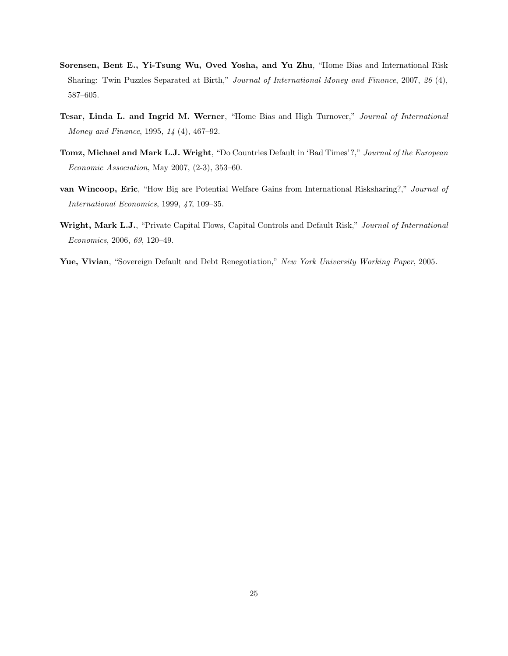- <span id="page-26-5"></span>Sorensen, Bent E., Yi-Tsung Wu, Oved Yosha, and Yu Zhu, "Home Bias and International Risk Sharing: Twin Puzzles Separated at Birth," Journal of International Money and Finance, 2007, 26 (4), 587–605.
- <span id="page-26-0"></span>Tesar, Linda L. and Ingrid M. Werner, "Home Bias and High Turnover," Journal of International Money and Finance, 1995, 14 (4), 467–92.
- <span id="page-26-3"></span>Tomz, Michael and Mark L.J. Wright, "Do Countries Default in 'Bad Times'?," Journal of the European Economic Association, May 2007, (2-3), 353–60.
- <span id="page-26-2"></span>van Wincoop, Eric, "How Big are Potential Welfare Gains from International Risksharing?," Journal of International Economics, 1999, 47, 109–35.
- <span id="page-26-4"></span>Wright, Mark L.J., "Private Capital Flows, Capital Controls and Default Risk," Journal of International Economics, 2006, 69, 120–49.
- <span id="page-26-1"></span>Yue, Vivian, "Sovereign Default and Debt Renegotiation," New York University Working Paper, 2005.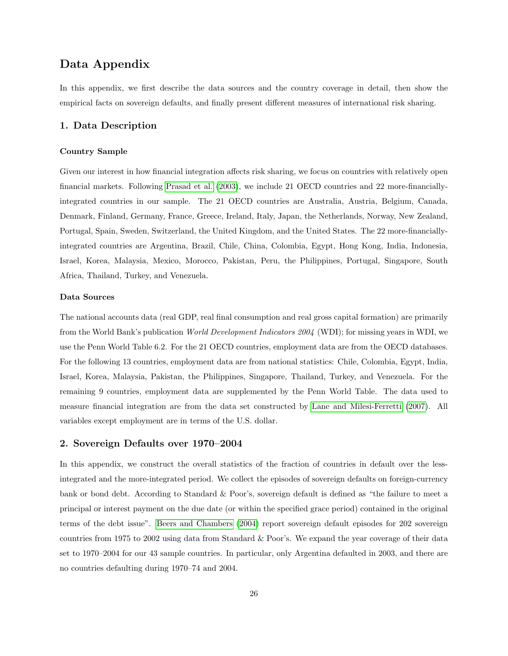# Data Appendix

In this appendix, we first describe the data sources and the country coverage in detail, then show the empirical facts on sovereign defaults, and finally present different measures of international risk sharing.

#### 1. Data Description

#### Country Sample

Given our interest in how financial integration affects risk sharing, we focus on countries with relatively open financial markets. Following [Prasad et al.](#page-25-0) [\(2003\)](#page-25-0), we include 21 OECD countries and 22 more-financiallyintegrated countries in our sample. The 21 OECD countries are Australia, Austria, Belgium, Canada, Denmark, Finland, Germany, France, Greece, Ireland, Italy, Japan, the Netherlands, Norway, New Zealand, Portugal, Spain, Sweden, Switzerland, the United Kingdom, and the United States. The 22 more-financiallyintegrated countries are Argentina, Brazil, Chile, China, Colombia, Egypt, Hong Kong, India, Indonesia, Israel, Korea, Malaysia, Mexico, Morocco, Pakistan, Peru, the Philippines, Portugal, Singapore, South Africa, Thailand, Turkey, and Venezuela.

#### Data Sources

The national accounts data (real GDP, real final consumption and real gross capital formation) are primarily from the World Bank's publication World Development Indicators 2004 (WDI); for missing years in WDI, we use the Penn World Table 6.2. For the 21 OECD countries, employment data are from the OECD databases. For the following 13 countries, employment data are from national statistics: Chile, Colombia, Egypt, India, Israel, Korea, Malaysia, Pakistan, the Philippines, Singapore, Thailand, Turkey, and Venezuela. For the remaining 9 countries, employment data are supplemented by the Penn World Table. The data used to measure financial integration are from the data set constructed by [Lane and Milesi-Ferretti](#page-25-6) [\(2007\)](#page-25-6). All variables except employment are in terms of the U.S. dollar.

#### 2. Sovereign Defaults over 1970–2004

In this appendix, we construct the overall statistics of the fraction of countries in default over the lessintegrated and the more-integrated period. We collect the episodes of sovereign defaults on foreign-currency bank or bond debt. According to Standard & Poor's, sovereign default is defined as "the failure to meet a principal or interest payment on the due date (or within the specified grace period) contained in the original terms of the debt issue". [Beers and Chambers](#page-24-11) [\(2004\)](#page-24-11) report sovereign default episodes for 202 sovereign countries from 1975 to 2002 using data from Standard & Poor's. We expand the year coverage of their data set to 1970–2004 for our 43 sample countries. In particular, only Argentina defaulted in 2003, and there are no countries defaulting during 1970–74 and 2004.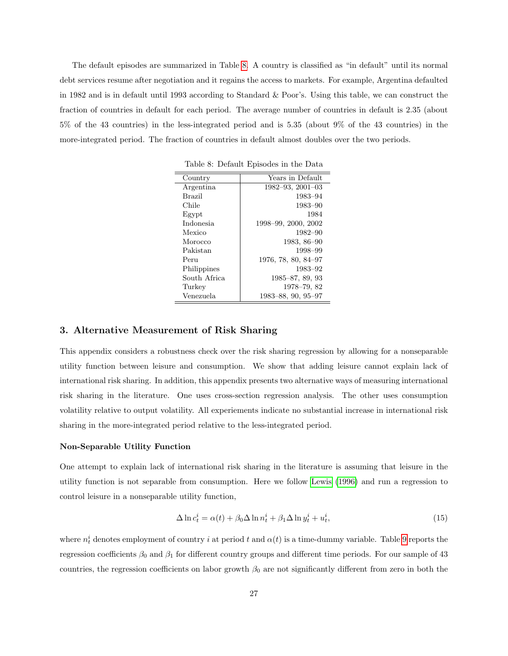The default episodes are summarized in Table [8.](#page-28-0) A country is classified as "in default" until its normal debt services resume after negotiation and it regains the access to markets. For example, Argentina defaulted in 1982 and is in default until 1993 according to Standard & Poor's. Using this table, we can construct the fraction of countries in default for each period. The average number of countries in default is 2.35 (about 5% of the 43 countries) in the less-integrated period and is 5.35 (about 9% of the 43 countries) in the more-integrated period. The fraction of countries in default almost doubles over the two periods.

<span id="page-28-0"></span>

| Country       | Years in Default         |
|---------------|--------------------------|
| Argentina     | $1982 - 93, 2001 - 03$   |
| <b>Brazil</b> | 1983-94                  |
| Chile         | 1983-90                  |
| Egypt         | 1984                     |
| Indonesia     | 1998-99, 2000, 2002      |
| Mexico        | 1982–90                  |
| Morocco       | $1983, 86 - 90$          |
| Pakistan      | 1998-99                  |
| Peru          | $1976, 78, 80, 84 - 97$  |
| Philippines   | 1983-92                  |
| South Africa  | $1985 - 87, 89, 93$      |
| Turkey        | $1978 - 79,82$           |
| Venezuela     | $1983 - 88, 90, 95 - 97$ |

### 3. Alternative Measurement of Risk Sharing

This appendix considers a robustness check over the risk sharing regression by allowing for a nonseparable utility function between leisure and consumption. We show that adding leisure cannot explain lack of international risk sharing. In addition, this appendix presents two alternative ways of measuring international risk sharing in the literature. One uses cross-section regression analysis. The other uses consumption volatility relative to output volatility. All experiements indicate no substantial increase in international risk sharing in the more-integrated period relative to the less-integrated period.

#### Non-Separable Utility Function

One attempt to explain lack of international risk sharing in the literature is assuming that leisure in the utility function is not separable from consumption. Here we follow [Lewis](#page-25-8) [\(1996\)](#page-25-8) and run a regression to control leisure in a nonseparable utility function,

$$
\Delta \ln c_t^i = \alpha(t) + \beta_0 \Delta \ln n_t^i + \beta_1 \Delta \ln y_t^i + u_t^i, \tag{15}
$$

where  $n_t^i$  denotes employment of country i at period t and  $\alpha(t)$  is a time-dummy variable. Table [9](#page-29-0) reports the regression coefficients  $\beta_0$  and  $\beta_1$  for different country groups and different time periods. For our sample of 43 countries, the regression coefficients on labor growth  $\beta_0$  are not significantly different from zero in both the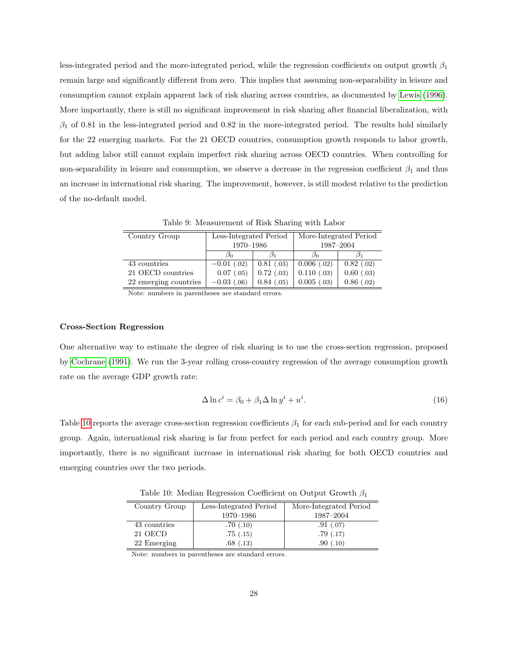less-integrated period and the more-integrated period, while the regression coefficients on output growth  $\beta_1$ remain large and significantly different from zero. This implies that assuming non-separability in leisure and consumption cannot explain apparent lack of risk sharing across countries, as documented by [Lewis](#page-25-8) [\(1996\)](#page-25-8). More importantly, there is still no significant improvement in risk sharing after financial liberalization, with  $\beta_1$  of 0.81 in the less-integrated period and 0.82 in the more-integrated period. The results hold similarly for the 22 emerging markets. For the 21 OECD countries, consumption growth responds to labor growth, but adding labor still cannot explain imperfect risk sharing across OECD countries. When controlling for non-separability in leisure and consumption, we observe a decrease in the regression coefficient  $\beta_1$  and thus an increase in international risk sharing. The improvement, however, is still modest relative to the prediction of the no-default model.

| Country Group         | Less-Integrated Period |              |               | More-Integrated Period |  |
|-----------------------|------------------------|--------------|---------------|------------------------|--|
|                       | 1970-1986              |              |               | 1987-2004              |  |
|                       | Øn                     |              | Dη            |                        |  |
| 43 countries          | $-0.01$ (.02)          | 0.81(0.03)   | 0.006(0.02)   | 0.82(0.02)             |  |
| 21 OECD countries     | 0.07(0.05)             | $0.72$ (.03) | 0.110(0.03)   | $0.60$ (.03)           |  |
| 22 emerging countries | $-0.03$ (.06)          | 0.84(0.05)   | $0.005$ (.03) | 0.86(0.02)             |  |

<span id="page-29-0"></span>Table 9: Measurement of Risk Sharing with Labor

Note: numbers in parentheses are standard errors.

#### Cross-Section Regression

One alternative way to estimate the degree of risk sharing is to use the cross-section regression, proposed by [Cochrane](#page-24-8) [\(1991\)](#page-24-8). We run the 3-year rolling cross-country regression of the average consumption growth rate on the average GDP growth rate:

$$
\Delta \ln c^i = \beta_0 + \beta_1 \Delta \ln y^i + u^i. \tag{16}
$$

Table [10](#page-29-1) reports the average cross-section regression coefficients  $\beta_1$  for each sub-period and for each country group. Again, international risk sharing is far from perfect for each period and each country group. More importantly, there is no significant increase in international risk sharing for both OECD countries and emerging countries over the two periods.

<span id="page-29-1"></span>Table 10: Median Regression Coefficient on Output Growth  $\beta_1$ 

| Country Group | Less-Integrated Period | More-Integrated Period |
|---------------|------------------------|------------------------|
|               | 1970-1986              | 1987-2004              |
| 43 countries  | .70(.10)               | .91(0.07)              |
| 21 OECD       | .75(.15)               | .79(.17)               |
| 22 Emerging   | .68(0.13)              | .90(0.10)              |

Note: numbers in parentheses are standard errors.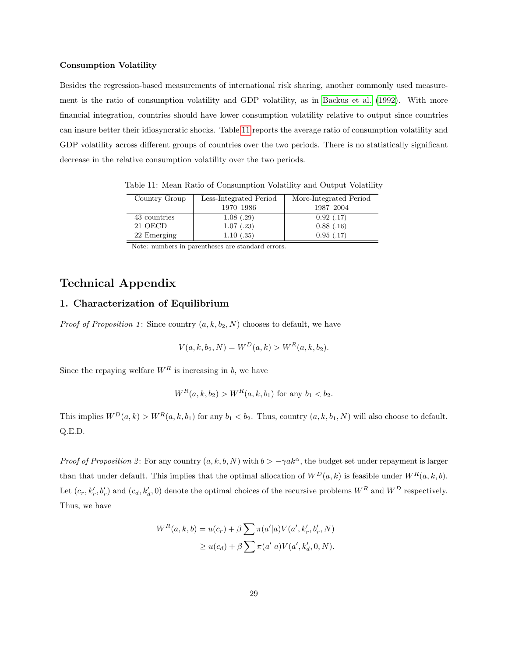#### Consumption Volatility

Besides the regression-based measurements of international risk sharing, another commonly used measurement is the ratio of consumption volatility and GDP volatility, as in [Backus et al.](#page-24-12) [\(1992\)](#page-24-12). With more financial integration, countries should have lower consumption volatility relative to output since countries can insure better their idiosyncratic shocks. Table [11](#page-30-0) reports the average ratio of consumption volatility and GDP volatility across different groups of countries over the two periods. There is no statistically significant decrease in the relative consumption volatility over the two periods.

<span id="page-30-0"></span>

| Country Group | Less-Integrated Period | More-Integrated Period |
|---------------|------------------------|------------------------|
|               | 1970-1986              | 1987-2004              |
| 43 countries  | 1.08(.29)              | 0.92(0.17)             |
| 21 OECD       | 1.07(0.23)             | 0.88(0.16)             |
| 22 Emerging   | 1.10(.35)              | 0.95(0.17)             |

Table 11: Mean Ratio of Consumption Volatility and Output Volatility

Note: numbers in parentheses are standard errors.

# Technical Appendix

### 1. Characterization of Equilibrium

*Proof of Proposition 1*: Since country  $(a, k, b_2, N)$  chooses to default, we have

$$
V(a, k, b_2, N) = W^D(a, k) > W^R(a, k, b_2).
$$

Since the repaying welfare  $W^R$  is increasing in b, we have

$$
W^R(a, k, b_2) > W^R(a, k, b_1)
$$
 for any  $b_1 < b_2$ .

This implies  $W^D(a, k) > W^R(a, k, b_1)$  for any  $b_1 < b_2$ . Thus, country  $(a, k, b_1, N)$  will also choose to default. Q.E.D.

Proof of Proposition 2: For any country  $(a, k, b, N)$  with  $b > -\gamma a k^{\alpha}$ , the budget set under repayment is larger than that under default. This implies that the optimal allocation of  $W^D(a, k)$  is feasible under  $W^R(a, k, b)$ . Let  $(c_r, k'_r, b'_r)$  and  $(c_d, k'_d, 0)$  denote the optimal choices of the recursive problems  $W^R$  and  $W^D$  respectively. Thus, we have

$$
W^{R}(a, k, b) = u(c_{r}) + \beta \sum \pi(a'|a) V(a', k'_{r}, b'_{r}, N)
$$
  
 
$$
\geq u(c_{d}) + \beta \sum \pi(a'|a) V(a', k'_{d}, 0, N).
$$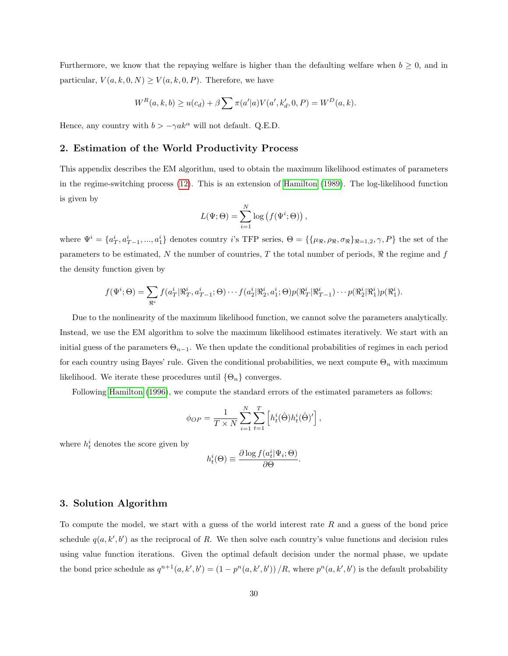Furthermore, we know that the repaying welfare is higher than the defaulting welfare when  $b \geq 0$ , and in particular,  $V(a, k, 0, N) \ge V(a, k, 0, P)$ . Therefore, we have

$$
W^{R}(a, k, b) \ge u(c_d) + \beta \sum \pi(a'|a) V(a', k'_d, 0, P) = W^{D}(a, k).
$$

Hence, any country with  $b>-\gamma a k^{\alpha}$  will not default. Q.E.D.

### 2. Estimation of the World Productivity Process

This appendix describes the EM algorithm, used to obtain the maximum likelihood estimates of parameters in the regime-switching process [\(12\)](#page-13-1). This is an extension of [Hamilton](#page-24-10) [\(1989\)](#page-24-10). The log-likelihood function is given by

$$
L(\Psi; \Theta) = \sum_{i=1}^{N} \log (f(\Psi^{i}; \Theta)),
$$

where  $\Psi^i = \{a_T^i, a_{T-1}^i, ..., a_1^i\}$  denotes country i's TFP series,  $\Theta = \{\{\mu_{\Re}, \rho_{\Re}, \sigma_{\Re}\}_{\Re=1,2}, \gamma, P\}$  the set of the parameters to be estimated, N the number of countries, T the total number of periods,  $\Re$  the regime and f the density function given by

$$
f(\Psi^i; \Theta) = \sum_{\Re^i} f(a_T^i | \Re_T^i, a_{T-1}^i; \Theta) \cdots f(a_2^i | \Re_2^i, a_1^i; \Theta) p(\Re_T^i | \Re_{T-1}^i) \cdots p(\Re_2^i | \Re_1^i) p(\Re_1^i).
$$

Due to the nonlinearity of the maximum likelihood function, we cannot solve the parameters analytically. Instead, we use the EM algorithm to solve the maximum likelihood estimates iteratively. We start with an initial guess of the parameters  $\Theta_{n-1}$ . We then update the conditional probabilities of regimes in each period for each country using Bayes' rule. Given the conditional probabilities, we next compute  $\Theta_n$  with maximum likelihood. We iterate these procedures until  $\{\Theta_n\}$  converges.

Following [Hamilton](#page-24-13) [\(1996\)](#page-24-13), we compute the standard errors of the estimated parameters as follows:

$$
\phi_{OP} = \frac{1}{T \times N} \sum_{i=1}^{N} \sum_{t=1}^{T} \left[ h_t^{i}(\hat{\Theta}) h_t^{i}(\hat{\Theta})' \right],
$$

where  $h_t^i$  denotes the score given by

$$
h_t^i(\Theta) \equiv \frac{\partial \log f(a_t^i | \Psi_i; \Theta)}{\partial \Theta}.
$$

### 3. Solution Algorithm

To compute the model, we start with a guess of the world interest rate  $R$  and a guess of the bond price schedule  $q(a, k', b')$  as the reciprocal of R. We then solve each country's value functions and decision rules using value function iterations. Given the optimal default decision under the normal phase, we update the bond price schedule as  $q^{n+1}(a, k', b') = (1 - p^n(a, k', b')) / R$ , where  $p^n(a, k', b')$  is the default probability